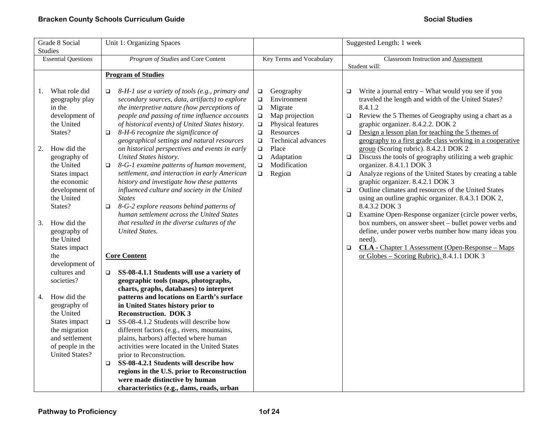| Grade 8 Social                                                                                                                                                                                                                                                                                | Unit 1: Organizing Spaces                                                                                                                                                                                                                                                                                                                                                                                                                                                                                                                                                                                                                                                                                                                                                                                                                     |                                                                                                                                                                                                                                                                              | Suggested Length: 1 week                                                                                                                                                                                                                                                                                                                                                                                                                                                                                                                                                                                                                                                                                                                                                                                                                                                                                                                                                                                                    |  |
|-----------------------------------------------------------------------------------------------------------------------------------------------------------------------------------------------------------------------------------------------------------------------------------------------|-----------------------------------------------------------------------------------------------------------------------------------------------------------------------------------------------------------------------------------------------------------------------------------------------------------------------------------------------------------------------------------------------------------------------------------------------------------------------------------------------------------------------------------------------------------------------------------------------------------------------------------------------------------------------------------------------------------------------------------------------------------------------------------------------------------------------------------------------|------------------------------------------------------------------------------------------------------------------------------------------------------------------------------------------------------------------------------------------------------------------------------|-----------------------------------------------------------------------------------------------------------------------------------------------------------------------------------------------------------------------------------------------------------------------------------------------------------------------------------------------------------------------------------------------------------------------------------------------------------------------------------------------------------------------------------------------------------------------------------------------------------------------------------------------------------------------------------------------------------------------------------------------------------------------------------------------------------------------------------------------------------------------------------------------------------------------------------------------------------------------------------------------------------------------------|--|
| <b>Studies</b><br><b>Essential Questions</b>                                                                                                                                                                                                                                                  | Program of Studies and Core Content                                                                                                                                                                                                                                                                                                                                                                                                                                                                                                                                                                                                                                                                                                                                                                                                           | Key Terms and Vocabulary                                                                                                                                                                                                                                                     | <b>Classroom Instruction and Assessment</b><br>Student will:                                                                                                                                                                                                                                                                                                                                                                                                                                                                                                                                                                                                                                                                                                                                                                                                                                                                                                                                                                |  |
|                                                                                                                                                                                                                                                                                               | <b>Program of Studies</b>                                                                                                                                                                                                                                                                                                                                                                                                                                                                                                                                                                                                                                                                                                                                                                                                                     |                                                                                                                                                                                                                                                                              |                                                                                                                                                                                                                                                                                                                                                                                                                                                                                                                                                                                                                                                                                                                                                                                                                                                                                                                                                                                                                             |  |
| What role did<br>1.<br>geography play<br>in the<br>development of<br>the United<br>States?<br>How did the<br>2.<br>geography of<br>the United<br>States impact<br>the economic<br>development of<br>the United<br>States?<br>How did the<br>3.<br>geography of<br>the United<br>States impact | 8-H-1 use a variety of tools (e.g., primary and<br>$\Box$<br>secondary sources, data, artifacts) to explore<br>the interpretive nature (how perceptions of<br>people and passing of time influence accounts<br>of historical events) of United States history.<br>8-H-6 recognize the significance of<br>$\Box$<br>geographical settings and natural resources<br>on historical perspectives and events in early<br>United States history.<br>8-G-1 examine patterns of human movement,<br>$\Box$<br>settlement, and interaction in early American<br>history and investigate how these patterns<br>influenced culture and society in the United<br><b>States</b><br>8-G-2 explore reasons behind patterns of<br>$\Box$<br>human settlement across the United States<br>that resulted in the diverse cultures of the<br><b>United States.</b> | Geography<br>$\Box$<br>Environment<br>$\Box$<br>Migrate<br>$\Box$<br>Map projection<br>$\Box$<br>Physical features<br>$\Box$<br>Resources<br>$\Box$<br>Technical advances<br>$\Box$<br>Place<br>$\Box$<br>Adaptation<br>$\Box$<br>Modification<br>$\Box$<br>Region<br>$\Box$ | Write a journal entry - What would you see if you<br>$\Box$<br>traveled the length and width of the United States?<br>8.4.1.2<br>Review the 5 Themes of Geography using a chart as a<br>$\Box$<br>graphic organizer. 8.4.2.2. DOK 2<br>Design a lesson plan for teaching the 5 themes of<br>$\Box$<br>geography to a first grade class working in a cooperative<br>group (Scoring rubric). 8.4.2.1 DOK 2<br>Discuss the tools of geography utilizing a web graphic<br>$\Box$<br>organizer. 8.4.1.1 DOK 3<br>Analyze regions of the United States by creating a table<br>$\Box$<br>graphic organizer. 8.4.2.1 DOK 3<br>Outline climates and resources of the United States<br>$\Box$<br>using an outline graphic organizer. 8.4.3.1 DOK 2,<br>8.4.3.2 DOK 3<br>Examine Open-Response organizer (circle power verbs,<br>$\Box$<br>box numbers, on answer sheet - bullet power verbs and<br>define, under power verbs number how many ideas you<br>need).<br><b>CLA</b> - Chapter 1 Assessment (Open-Response – Maps<br>$\Box$ |  |
| the                                                                                                                                                                                                                                                                                           | <b>Core Content</b>                                                                                                                                                                                                                                                                                                                                                                                                                                                                                                                                                                                                                                                                                                                                                                                                                           |                                                                                                                                                                                                                                                                              | or Globes - Scoring Rubric). 8.4.1.1 DOK 3                                                                                                                                                                                                                                                                                                                                                                                                                                                                                                                                                                                                                                                                                                                                                                                                                                                                                                                                                                                  |  |
| development of<br>cultures and<br>societies?<br>How did the<br>4.<br>geography of<br>the United<br>States impact<br>the migration<br>and settlement<br>of people in the<br><b>United States?</b>                                                                                              | SS-08-4.1.1 Students will use a variety of<br>$\Box$<br>geographic tools (maps, photographs,<br>charts, graphs, databases) to interpret<br>patterns and locations on Earth's surface<br>in United States history prior to<br><b>Reconstruction. DOK 3</b><br>SS-08-4.1.2 Students will describe how<br>□<br>different factors (e.g., rivers, mountains,<br>plains, harbors) affected where human<br>activities were located in the United States<br>prior to Reconstruction.<br>SS-08-4.2.1 Students will describe how<br>$\Box$<br>regions in the U.S. prior to Reconstruction<br>were made distinctive by human<br>characteristics (e.g., dams, roads, urban                                                                                                                                                                                |                                                                                                                                                                                                                                                                              |                                                                                                                                                                                                                                                                                                                                                                                                                                                                                                                                                                                                                                                                                                                                                                                                                                                                                                                                                                                                                             |  |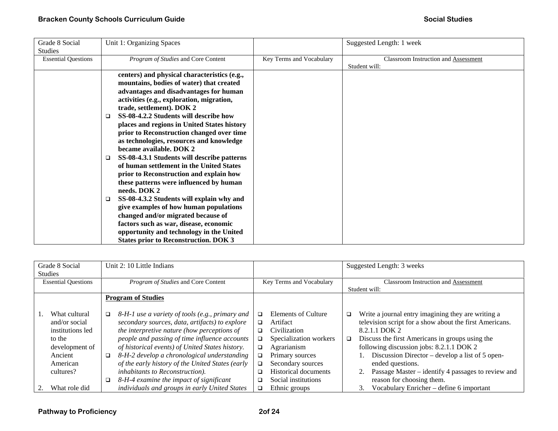| Grade 8 Social<br><b>Studies</b> | Unit 1: Organizing Spaces                                                                                                                                                                                                                                                                                                                                                                                                                                                                                                                                                                                                                                                                                                                                                                                                                                                                                              |                          | Suggested Length: 1 week                                     |
|----------------------------------|------------------------------------------------------------------------------------------------------------------------------------------------------------------------------------------------------------------------------------------------------------------------------------------------------------------------------------------------------------------------------------------------------------------------------------------------------------------------------------------------------------------------------------------------------------------------------------------------------------------------------------------------------------------------------------------------------------------------------------------------------------------------------------------------------------------------------------------------------------------------------------------------------------------------|--------------------------|--------------------------------------------------------------|
| <b>Essential Questions</b>       | Program of Studies and Core Content                                                                                                                                                                                                                                                                                                                                                                                                                                                                                                                                                                                                                                                                                                                                                                                                                                                                                    | Key Terms and Vocabulary | <b>Classroom Instruction and Assessment</b><br>Student will: |
|                                  | centers) and physical characteristics (e.g.,<br>mountains, bodies of water) that created<br>advantages and disadvantages for human<br>activities (e.g., exploration, migration,<br>trade, settlement). DOK 2<br>SS-08-4.2.2 Students will describe how<br>$\Box$<br>places and regions in United States history<br>prior to Reconstruction changed over time<br>as technologies, resources and knowledge<br>became available. DOK 2<br>SS-08-4.3.1 Students will describe patterns<br>$\Box$<br>of human settlement in the United States<br>prior to Reconstruction and explain how<br>these patterns were influenced by human<br>needs. DOK 2<br>SS-08-4.3.2 Students will explain why and<br>□<br>give examples of how human populations<br>changed and/or migrated because of<br>factors such as war, disease, economic<br>opportunity and technology in the United<br><b>States prior to Reconstruction. DOK 3</b> |                          |                                                              |

| Grade 8 Social             |        | Unit 2: 10 Little Indians                        |        |                          |        | Suggested Length: 3 weeks                               |
|----------------------------|--------|--------------------------------------------------|--------|--------------------------|--------|---------------------------------------------------------|
| <b>Studies</b>             |        |                                                  |        |                          |        |                                                         |
| <b>Essential Questions</b> |        | Program of Studies and Core Content              |        | Key Terms and Vocabulary |        | Classroom Instruction and Assessment                    |
|                            |        |                                                  |        |                          |        | Student will:                                           |
|                            |        | <b>Program of Studies</b>                        |        |                          |        |                                                         |
|                            |        |                                                  |        |                          |        |                                                         |
| What cultural              | □      | 8-H-1 use a variety of tools (e.g., primary and  | □      | Elements of Culture      | $\Box$ | Write a journal entry imagining they are writing a      |
| and/or social              |        | secondary sources, data, artifacts) to explore   | □      | Artifact                 |        | television script for a show about the first Americans. |
| institutions led           |        | the interpretive nature (how perceptions of      | □      | Civilization             |        | 8.2.1.1 DOK 2                                           |
| to the                     |        | people and passing of time influence accounts    | □      | Specialization workers   | $\Box$ | Discuss the first Americans in groups using the         |
| development of             |        | of historical events) of United States history.  | $\Box$ | Agrarianism              |        | following discussion jobs: 8.2.1.1 DOK 2                |
| Ancient                    | $\Box$ | 8-H-2 develop a chronological understanding      | □      | Primary sources          |        | Discussion Director – develop a list of 5 open-         |
| American                   |        | of the early history of the United States (early | ❏      | Secondary sources        |        | ended questions.                                        |
| cultures?                  |        | inhabitants to Reconstruction).                  | □      | Historical documents     |        | Passage Master – identify 4 passages to review and      |
|                            |        | 8-H-4 examine the impact of significant          | ❏      | Social institutions      |        | reason for choosing them.                               |
| What role did              |        | individuals and groups in early United States    | □      | Ethnic groups            |        | Vocabulary Enricher - define 6 important<br>3.          |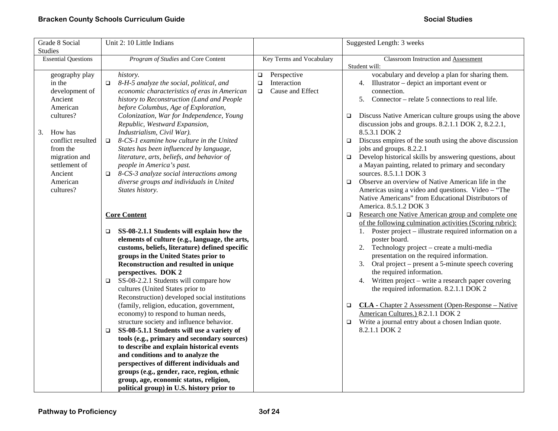| Grade 8 Social<br>Studies                                                                                                                                                                              | Unit 2: 10 Little Indians                                                                                                                                                                                                                                                                                                                                                                                                                                                                                                                                                                                                                                                                                                                                                                      |                                                                              | Suggested Length: 3 weeks                                                                                                                                                                                                                                                                                                                                                                                                                                                                                                                                                                                                                                                                                                                                                                                                                                                                                                                                                                                                                                |
|--------------------------------------------------------------------------------------------------------------------------------------------------------------------------------------------------------|------------------------------------------------------------------------------------------------------------------------------------------------------------------------------------------------------------------------------------------------------------------------------------------------------------------------------------------------------------------------------------------------------------------------------------------------------------------------------------------------------------------------------------------------------------------------------------------------------------------------------------------------------------------------------------------------------------------------------------------------------------------------------------------------|------------------------------------------------------------------------------|----------------------------------------------------------------------------------------------------------------------------------------------------------------------------------------------------------------------------------------------------------------------------------------------------------------------------------------------------------------------------------------------------------------------------------------------------------------------------------------------------------------------------------------------------------------------------------------------------------------------------------------------------------------------------------------------------------------------------------------------------------------------------------------------------------------------------------------------------------------------------------------------------------------------------------------------------------------------------------------------------------------------------------------------------------|
| <b>Essential Questions</b>                                                                                                                                                                             | Program of Studies and Core Content                                                                                                                                                                                                                                                                                                                                                                                                                                                                                                                                                                                                                                                                                                                                                            | Key Terms and Vocabulary                                                     | Classroom Instruction and Assessment                                                                                                                                                                                                                                                                                                                                                                                                                                                                                                                                                                                                                                                                                                                                                                                                                                                                                                                                                                                                                     |
| geography play<br>in the<br>development of<br>Ancient<br>American<br>cultures?<br>How has<br>3.<br>conflict resulted<br>from the<br>migration and<br>settlement of<br>Ancient<br>American<br>cultures? | history.<br>8-H-5 analyze the social, political, and<br>$\Box$<br>economic characteristics of eras in American<br>history to Reconstruction (Land and People<br>before Columbus, Age of Exploration,<br>Colonization, War for Independence, Young<br>Republic, Westward Expansion,<br>Industrialism, Civil War).<br>8-CS-1 examine how culture in the United<br>$\Box$<br>States has been influenced by language,<br>literature, arts, beliefs, and behavior of<br>people in America's past.<br>8-CS-3 analyze social interactions among<br>$\Box$<br>diverse groups and individuals in United<br>States history.<br><b>Core Content</b><br>SS-08-2.1.1 Students will explain how the<br>□<br>elements of culture (e.g., language, the arts,<br>customs, beliefs, literature) defined specific | Perspective<br>$\Box$<br>Interaction<br>$\Box$<br>Cause and Effect<br>$\Box$ | Student will:<br>vocabulary and develop a plan for sharing them.<br>4. Illustrator – depict an important event or<br>connection.<br>5. Connector – relate 5 connections to real life.<br>Discuss Native American culture groups using the above<br>$\Box$<br>discussion jobs and groups. 8.2.1.1 DOK 2, 8.2.2.1,<br>8.5.3.1 DOK 2<br>Discuss empires of the south using the above discussion<br>$\Box$<br>jobs and groups. 8.2.2.1<br>Develop historical skills by answering questions, about<br>$\Box$<br>a Mayan painting, related to primary and secondary<br>sources. 8.5.1.1 DOK 3<br>Observe an overview of Native American life in the<br>$\Box$<br>Americas using a video and questions. Video - "The<br>Native Americans" from Educational Distributors of<br>America. 8.5.1.2 DOK 3<br>Research one Native American group and complete one<br>$\Box$<br>of the following culmination activities (Scoring rubric):<br>1. Poster project – illustrate required information on a<br>poster board.<br>2. Technology project – create a multi-media |
|                                                                                                                                                                                                        | groups in the United States prior to<br>Reconstruction and resulted in unique<br>perspectives. DOK 2<br>SS-08-2.2.1 Students will compare how<br>$\Box$<br>cultures (United States prior to<br>Reconstruction) developed social institutions<br>(family, religion, education, government,<br>economy) to respond to human needs,<br>structure society and influence behavior.<br>SS-08-5.1.1 Students will use a variety of<br>$\Box$<br>tools (e.g., primary and secondary sources)<br>to describe and explain historical events<br>and conditions and to analyze the<br>perspectives of different individuals and<br>groups (e.g., gender, race, region, ethnic<br>group, age, economic status, religion,<br>political group) in U.S. history prior to                                       |                                                                              | presentation on the required information.<br>Oral project – present a 5-minute speech covering<br>3.<br>the required information.<br>Written project - write a research paper covering<br>4.<br>the required information. 8.2.1.1 DOK 2<br><b>CLA</b> - Chapter 2 Assessment (Open-Response – Native<br>$\Box$<br>American Cultures.) 8.2.1.1 DOK 2<br>Write a journal entry about a chosen Indian quote.<br>$\Box$<br>8.2.1.1 DOK 2                                                                                                                                                                                                                                                                                                                                                                                                                                                                                                                                                                                                                     |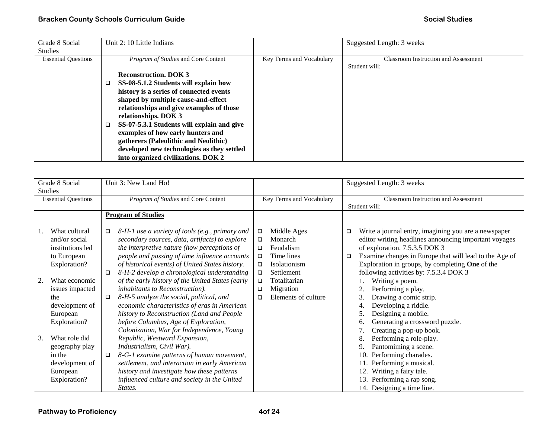| Grade 8 Social<br><b>Studies</b> | Unit 2: 10 Little Indians                  |                          | Suggested Length: 3 weeks                   |
|----------------------------------|--------------------------------------------|--------------------------|---------------------------------------------|
| <b>Essential Questions</b>       | Program of Studies and Core Content        | Key Terms and Vocabulary | <b>Classroom Instruction and Assessment</b> |
|                                  |                                            |                          | Student will:                               |
|                                  | <b>Reconstruction. DOK 3</b>               |                          |                                             |
|                                  | SS-08-5.1.2 Students will explain how      |                          |                                             |
|                                  | history is a series of connected events    |                          |                                             |
|                                  | shaped by multiple cause-and-effect        |                          |                                             |
|                                  | relationships and give examples of those   |                          |                                             |
|                                  | relationships. DOK 3                       |                          |                                             |
|                                  | SS-07-5.3.1 Students will explain and give |                          |                                             |
|                                  | examples of how early hunters and          |                          |                                             |
|                                  | gatherers (Paleolithic and Neolithic)      |                          |                                             |
|                                  | developed new technologies as they settled |                          |                                             |
|                                  | into organized civilizations. DOK 2        |                          |                                             |

|                            | Grade 8 Social<br><b>Studies</b>                                                        | Unit 3: New Land Ho!      |                                                                                                                                                                                                                                                                                                                                                                   |                                      |                                                                          | Suggested Length: 3 weeks                             |                                                                                                                                                                                                                                                                    |
|----------------------------|-----------------------------------------------------------------------------------------|---------------------------|-------------------------------------------------------------------------------------------------------------------------------------------------------------------------------------------------------------------------------------------------------------------------------------------------------------------------------------------------------------------|--------------------------------------|--------------------------------------------------------------------------|-------------------------------------------------------|--------------------------------------------------------------------------------------------------------------------------------------------------------------------------------------------------------------------------------------------------------------------|
| <b>Essential Questions</b> |                                                                                         |                           | Program of Studies and Core Content                                                                                                                                                                                                                                                                                                                               | Key Terms and Vocabulary             |                                                                          | Classroom Instruction and Assessment<br>Student will: |                                                                                                                                                                                                                                                                    |
|                            |                                                                                         | <b>Program of Studies</b> |                                                                                                                                                                                                                                                                                                                                                                   |                                      |                                                                          |                                                       |                                                                                                                                                                                                                                                                    |
|                            | What cultural<br>and/or social<br>institutions led<br>to European<br>Exploration?       | $\Box$                    | 8-H-1 use a variety of tools (e.g., primary and<br>secondary sources, data, artifacts) to explore<br>the interpretive nature (how perceptions of<br>people and passing of time influence accounts<br>of historical events) of United States history.                                                                                                              | $\Box$<br>□<br>□<br>$\Box$<br>$\Box$ | Middle Ages<br>Monarch<br>Feudalism<br>Time lines<br><b>Isolationism</b> | ❏<br>□                                                | Write a journal entry, imagining you are a newspaper<br>editor writing headlines announcing important voyages<br>of exploration. 7.5.3.5 DOK 3<br>Examine changes in Europe that will lead to the Age of<br>Exploration in groups, by completing <b>One</b> of the |
| 2.                         | What economic<br>issues impacted<br>the<br>development of<br>European<br>Exploration?   | $\Box$<br>□               | 8-H-2 develop a chronological understanding<br>of the early history of the United States (early<br>inhabitants to Reconstruction).<br>8-H-5 analyze the social, political, and<br>economic characteristics of eras in American<br>history to Reconstruction (Land and People<br>before Columbus, Age of Exploration,<br>Colonization, War for Independence, Young | $\Box$<br>$\Box$<br>□<br>□           | Settlement<br>Totalitarian<br>Migration<br>Elements of culture           |                                                       | following activities by: 7.5.3.4 DOK 3<br>Writing a poem.<br>Performing a play.<br>3.<br>Drawing a comic strip.<br>Developing a riddle.<br>4.<br>Designing a mobile.<br>Generating a crossword puzzle.<br>6.<br>Creating a pop-up book.                            |
| 3.                         | What role did<br>geography play<br>in the<br>development of<br>European<br>Exploration? | $\Box$<br>States.         | Republic, Westward Expansion,<br>Industrialism, Civil War).<br>8-G-1 examine patterns of human movement,<br>settlement, and interaction in early American<br>history and investigate how these patterns<br>influenced culture and society in the United                                                                                                           |                                      |                                                                          |                                                       | 8.<br>Performing a role-play.<br>Pantomiming a scene.<br>9.<br>Performing charades.<br>10.<br>Performing a musical.<br>Writing a fairy tale.<br>12.<br>13.<br>Performing a rap song.<br>14. Designing a time line.                                                 |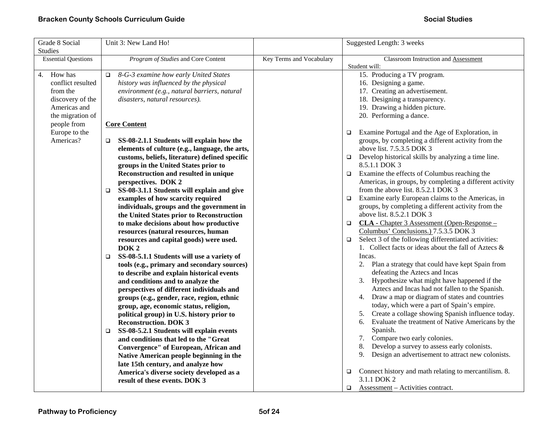| Grade 8 Social             | Unit 3: New Land Ho!                                 |                          | Suggested Length: 3 weeks                                       |
|----------------------------|------------------------------------------------------|--------------------------|-----------------------------------------------------------------|
| <b>Studies</b>             |                                                      |                          |                                                                 |
| <b>Essential Questions</b> | Program of Studies and Core Content                  | Key Terms and Vocabulary | Classroom Instruction and Assessment                            |
|                            |                                                      |                          | Student will:                                                   |
| 4. How has                 | 8-G-3 examine how early United States<br>$\Box$      |                          | 15. Producing a TV program.                                     |
| conflict resulted          | history was influenced by the physical               |                          | 16. Designing a game.                                           |
| from the                   | environment (e.g., natural barriers, natural         |                          | 17. Creating an advertisement.                                  |
| discovery of the           | disasters, natural resources).                       |                          | 18. Designing a transparency.                                   |
| Americas and               |                                                      |                          | 19. Drawing a hidden picture.                                   |
| the migration of           |                                                      |                          | 20. Performing a dance.                                         |
| people from                | <b>Core Content</b>                                  |                          |                                                                 |
| Europe to the              |                                                      |                          | Examine Portugal and the Age of Exploration, in<br>$\Box$       |
| Americas?                  | SS-08-2.1.1 Students will explain how the<br>$\Box$  |                          | groups, by completing a different activity from the             |
|                            | elements of culture (e.g., language, the arts,       |                          | above list. 7.5.3.5 DOK 3                                       |
|                            | customs, beliefs, literature) defined specific       |                          | Develop historical skills by analyzing a time line.<br>$\Box$   |
|                            | groups in the United States prior to                 |                          | 8.5.1.1 DOK 3                                                   |
|                            | Reconstruction and resulted in unique                |                          | Examine the effects of Columbus reaching the<br>$\Box$          |
|                            | perspectives. DOK 2                                  |                          | Americas, in groups, by completing a different activity         |
|                            | SS-08-3.1.1 Students will explain and give<br>$\Box$ |                          | from the above list. 8.5.2.1 DOK 3                              |
|                            | examples of how scarcity required                    |                          | Examine early European claims to the Americas, in<br>$\Box$     |
|                            | individuals, groups and the government in            |                          | groups, by completing a different activity from the             |
|                            | the United States prior to Reconstruction            |                          | above list. 8.5.2.1 DOK 3                                       |
|                            | to make decisions about how productive               |                          | CLA - Chapter 3 Assessment (Open-Response -<br>$\Box$           |
|                            | resources (natural resources, human                  |                          | Columbus' Conclusions.) 7.5.3.5 DOK 3                           |
|                            | resources and capital goods) were used.              |                          | Select 3 of the following differentiated activities:<br>$\Box$  |
|                            | DOK <sub>2</sub>                                     |                          | 1. Collect facts or ideas about the fall of Aztecs $\&$         |
|                            | SS-08-5.1.1 Students will use a variety of<br>$\Box$ |                          | Incas.                                                          |
|                            | tools (e.g., primary and secondary sources)          |                          | 2. Plan a strategy that could have kept Spain from              |
|                            | to describe and explain historical events            |                          | defeating the Aztecs and Incas                                  |
|                            | and conditions and to analyze the                    |                          | Hypothesize what might have happened if the<br>3.               |
|                            | perspectives of different individuals and            |                          | Aztecs and Incas had not fallen to the Spanish.                 |
|                            | groups (e.g., gender, race, region, ethnic           |                          | 4. Draw a map or diagram of states and countries                |
|                            | group, age, economic status, religion,               |                          | today, which were a part of Spain's empire.                     |
|                            | political group) in U.S. history prior to            |                          | 5. Create a collage showing Spanish influence today.            |
|                            | <b>Reconstruction. DOK 3</b>                         |                          | Evaluate the treatment of Native Americans by the<br>6.         |
|                            | SS-08-5.2.1 Students will explain events<br>$\Box$   |                          | Spanish.                                                        |
|                            | and conditions that led to the "Great                |                          | 7. Compare two early colonies.                                  |
|                            | Convergence" of European, African and                |                          | Develop a survey to assess early colonists.<br>8.               |
|                            | Native American people beginning in the              |                          | Design an advertisement to attract new colonists.<br>9.         |
|                            | late 15th century, and analyze how                   |                          |                                                                 |
|                            | America's diverse society developed as a             |                          | Connect history and math relating to mercantilism. 8.<br>$\Box$ |
|                            | result of these events. DOK 3                        |                          | 3.1.1 DOK 2                                                     |
|                            |                                                      |                          | Assessment – Activities contract.<br>$\Box$                     |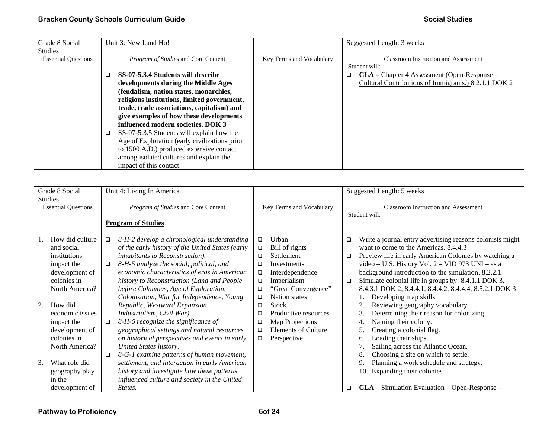| Grade 8 Social             | Unit 3: New Land Ho!                          |                          | Suggested Length: 3 weeks                            |
|----------------------------|-----------------------------------------------|--------------------------|------------------------------------------------------|
| <b>Studies</b>             |                                               |                          |                                                      |
| <b>Essential Questions</b> | <i>Program of Studies</i> and Core Content    | Key Terms and Vocabulary | <b>Classroom Instruction and Assessment</b>          |
|                            |                                               |                          | Student will:                                        |
|                            | SS-07-5.3.4 Students will describe            |                          | $CLA - Chapter 4$ Assessment (Open-Response –<br>a.  |
|                            | developments during the Middle Ages           |                          | Cultural Contributions of Immigrants.) 8.2.1.1 DOK 2 |
|                            | (feudalism, nation states, monarchies,        |                          |                                                      |
|                            | religious institutions, limited government,   |                          |                                                      |
|                            | trade, trade associations, capitalism) and    |                          |                                                      |
|                            | give examples of how these developments       |                          |                                                      |
|                            | influenced modern societies. DOK 3            |                          |                                                      |
|                            | SS-07-5.3.5 Students will explain how the     |                          |                                                      |
|                            | Age of Exploration (early civilizations prior |                          |                                                      |
|                            | to 1500 A.D.) produced extensive contact      |                          |                                                      |
|                            | among isolated cultures and explain the       |                          |                                                      |
|                            | impact of this contact.                       |                          |                                                      |

| Grade 8 Social<br><b>Studies</b>                                                                                                                                                                                    | Unit 4: Living In America                                                                                                                                                                                                                                                                                                                                                                                                                                                                                                                                                                                              |                                                                                                                                                                                                                                                                                                                                              | Suggested Length: 5 weeks                                                                                                                                                                                                                                                                                                                                                                                                                                                                                                                                                                                                                            |
|---------------------------------------------------------------------------------------------------------------------------------------------------------------------------------------------------------------------|------------------------------------------------------------------------------------------------------------------------------------------------------------------------------------------------------------------------------------------------------------------------------------------------------------------------------------------------------------------------------------------------------------------------------------------------------------------------------------------------------------------------------------------------------------------------------------------------------------------------|----------------------------------------------------------------------------------------------------------------------------------------------------------------------------------------------------------------------------------------------------------------------------------------------------------------------------------------------|------------------------------------------------------------------------------------------------------------------------------------------------------------------------------------------------------------------------------------------------------------------------------------------------------------------------------------------------------------------------------------------------------------------------------------------------------------------------------------------------------------------------------------------------------------------------------------------------------------------------------------------------------|
| <b>Essential Questions</b>                                                                                                                                                                                          | Program of Studies and Core Content                                                                                                                                                                                                                                                                                                                                                                                                                                                                                                                                                                                    | Key Terms and Vocabulary                                                                                                                                                                                                                                                                                                                     | Classroom Instruction and Assessment<br>Student will:                                                                                                                                                                                                                                                                                                                                                                                                                                                                                                                                                                                                |
|                                                                                                                                                                                                                     | <b>Program of Studies</b>                                                                                                                                                                                                                                                                                                                                                                                                                                                                                                                                                                                              |                                                                                                                                                                                                                                                                                                                                              |                                                                                                                                                                                                                                                                                                                                                                                                                                                                                                                                                                                                                                                      |
| How did culture<br>and social<br>institutions<br>impact the<br>development of<br>colonies in<br>North America?<br>How did<br>2.<br>economic issues<br>impact the<br>development of<br>colonies in<br>North America? | 8-H-2 develop a chronological understanding<br>$\Box$<br>of the early history of the United States (early<br>inhabitants to Reconstruction).<br>8-H-5 analyze the social, political, and<br>□<br>economic characteristics of eras in American<br>history to Reconstruction (Land and People<br>before Columbus, Age of Exploration,<br>Colonization, War for Independence, Young<br>Republic, Westward Expansion,<br>Industrialism, Civil War).<br>8-H-6 recognize the significance of<br>□<br>geographical settings and natural resources<br>on historical perspectives and events in early<br>United States history. | Urban<br>□<br>Bill of rights<br>$\Box$<br>Settlement<br>$\Box$<br>Investments<br>□<br>Interdependence<br>$\Box$<br>Imperialism<br>$\Box$<br>"Great Convergence"<br>□<br><b>Nation</b> states<br>$\Box$<br><b>Stock</b><br>❏<br>Productive resources<br>□<br>Map Projections<br>□<br><b>Elements of Culture</b><br>□<br>Perspective<br>$\Box$ | Write a journal entry advertising reasons colonists might<br>❏<br>want to come to the Americas. 8.4.4.3<br>Preview life in early American Colonies by watching a<br>▫<br>video - U.S. History Vol. 2 - VID 973 UNI - as a<br>background introduction to the simulation. 8.2.2.1<br>Simulate colonial life in groups by: 8.4.1.1 DOK 3,<br>□<br>8.4.3.1 DOK 2, 8.4.4.1, 8.4.4.2, 8.4.4.4, 8.5.2.1 DOK 3<br>Developing map skills.<br>Reviewing geography vocabulary.<br>Determining their reason for colonizing.<br>3.<br>Naming their colony.<br>Creating a colonial flag.<br>5.<br>Loading their ships.<br>6.<br>Sailing across the Atlantic Ocean. |
| What role did<br>3.<br>geography play<br>in the                                                                                                                                                                     | 8-G-1 examine patterns of human movement,<br>$\Box$<br>settlement, and interaction in early American<br>history and investigate how these patterns<br>influenced culture and society in the United                                                                                                                                                                                                                                                                                                                                                                                                                     |                                                                                                                                                                                                                                                                                                                                              | 8.<br>Choosing a site on which to settle.<br>Planning a work schedule and strategy.<br>Expanding their colonies.<br>10.                                                                                                                                                                                                                                                                                                                                                                                                                                                                                                                              |
| development of                                                                                                                                                                                                      | States.                                                                                                                                                                                                                                                                                                                                                                                                                                                                                                                                                                                                                |                                                                                                                                                                                                                                                                                                                                              | $CLA - Simulation Evaluation - Open-Response -$<br>o.                                                                                                                                                                                                                                                                                                                                                                                                                                                                                                                                                                                                |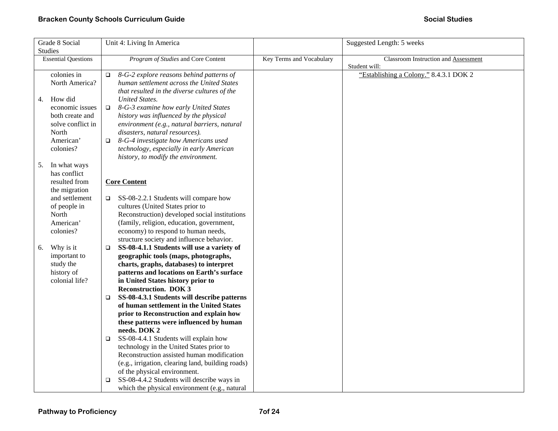| Grade 8 Social             | Unit 4: Living In America                            |                          | Suggested Length: 5 weeks                   |
|----------------------------|------------------------------------------------------|--------------------------|---------------------------------------------|
| <b>Studies</b>             |                                                      |                          |                                             |
| <b>Essential Questions</b> | Program of Studies and Core Content                  | Key Terms and Vocabulary | <b>Classroom Instruction and Assessment</b> |
|                            |                                                      |                          | Student will:                               |
| colonies in                | 8-G-2 explore reasons behind patterns of<br>□        |                          | "Establishing a Colony." 8.4.3.1 DOK 2      |
| North America?             | human settlement across the United States            |                          |                                             |
|                            | that resulted in the diverse cultures of the         |                          |                                             |
| How did<br>4.              | <b>United States.</b>                                |                          |                                             |
| economic issues            | 8-G-3 examine how early United States<br>$\Box$      |                          |                                             |
| both create and            | history was influenced by the physical               |                          |                                             |
| solve conflict in          | environment (e.g., natural barriers, natural         |                          |                                             |
| North                      | disasters, natural resources).                       |                          |                                             |
| American'                  | 8-G-4 investigate how Americans used<br>$\Box$       |                          |                                             |
| colonies?                  | technology, especially in early American             |                          |                                             |
|                            | history, to modify the environment.                  |                          |                                             |
| 5.<br>In what ways         |                                                      |                          |                                             |
| has conflict               |                                                      |                          |                                             |
| resulted from              | <b>Core Content</b>                                  |                          |                                             |
| the migration              |                                                      |                          |                                             |
| and settlement             | SS-08-2.2.1 Students will compare how<br>$\Box$      |                          |                                             |
| of people in               | cultures (United States prior to                     |                          |                                             |
| North                      | Reconstruction) developed social institutions        |                          |                                             |
| American'                  | (family, religion, education, government,            |                          |                                             |
| colonies?                  | economy) to respond to human needs,                  |                          |                                             |
|                            | structure society and influence behavior.            |                          |                                             |
| Why is it<br>6.            | SS-08-4.1.1 Students will use a variety of<br>$\Box$ |                          |                                             |
| important to               | geographic tools (maps, photographs,                 |                          |                                             |
| study the                  | charts, graphs, databases) to interpret              |                          |                                             |
| history of                 | patterns and locations on Earth's surface            |                          |                                             |
| colonial life?             | in United States history prior to                    |                          |                                             |
|                            | <b>Reconstruction. DOK 3</b>                         |                          |                                             |
|                            | SS-08-4.3.1 Students will describe patterns<br>□     |                          |                                             |
|                            | of human settlement in the United States             |                          |                                             |
|                            | prior to Reconstruction and explain how              |                          |                                             |
|                            | these patterns were influenced by human              |                          |                                             |
|                            | needs. DOK 2                                         |                          |                                             |
|                            | SS-08-4.4.1 Students will explain how<br>$\Box$      |                          |                                             |
|                            | technology in the United States prior to             |                          |                                             |
|                            | Reconstruction assisted human modification           |                          |                                             |
|                            | (e.g., irrigation, clearing land, building roads)    |                          |                                             |
|                            | of the physical environment.                         |                          |                                             |
|                            | SS-08-4.4.2 Students will describe ways in<br>□      |                          |                                             |
|                            | which the physical environment (e.g., natural        |                          |                                             |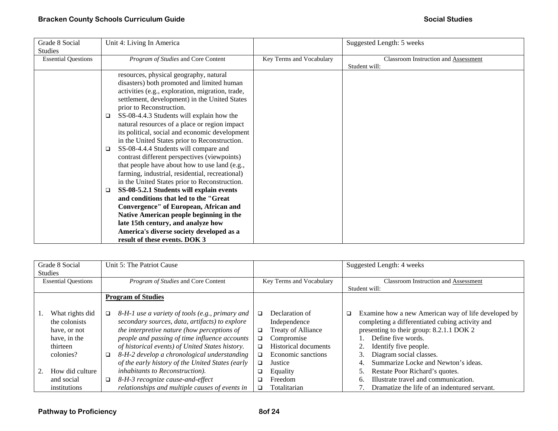| Grade 8 Social             | Unit 4: Living In America                                                                                                                                                                                                                                                                                                                                                                                                                                                                                                                                                                                                                                                                                             |                          | Suggested Length: 5 weeks                             |
|----------------------------|-----------------------------------------------------------------------------------------------------------------------------------------------------------------------------------------------------------------------------------------------------------------------------------------------------------------------------------------------------------------------------------------------------------------------------------------------------------------------------------------------------------------------------------------------------------------------------------------------------------------------------------------------------------------------------------------------------------------------|--------------------------|-------------------------------------------------------|
| <b>Studies</b>             |                                                                                                                                                                                                                                                                                                                                                                                                                                                                                                                                                                                                                                                                                                                       |                          |                                                       |
|                            |                                                                                                                                                                                                                                                                                                                                                                                                                                                                                                                                                                                                                                                                                                                       |                          |                                                       |
| <b>Essential Questions</b> | Program of Studies and Core Content<br>resources, physical geography, natural<br>disasters) both promoted and limited human<br>activities (e.g., exploration, migration, trade,<br>settlement, development) in the United States<br>prior to Reconstruction.<br>SS-08-4.4.3 Students will explain how the<br>□<br>natural resources of a place or region impact<br>its political, social and economic development<br>in the United States prior to Reconstruction.<br>SS-08-4.4.4 Students will compare and<br>□<br>contrast different perspectives (viewpoints)<br>that people have about how to use land (e.g.,<br>farming, industrial, residential, recreational)<br>in the United States prior to Reconstruction. | Key Terms and Vocabulary | Classroom Instruction and Assessment<br>Student will: |
|                            | SS-08-5.2.1 Students will explain events<br>□                                                                                                                                                                                                                                                                                                                                                                                                                                                                                                                                                                                                                                                                         |                          |                                                       |
|                            | and conditions that led to the "Great                                                                                                                                                                                                                                                                                                                                                                                                                                                                                                                                                                                                                                                                                 |                          |                                                       |
|                            | Convergence" of European, African and                                                                                                                                                                                                                                                                                                                                                                                                                                                                                                                                                                                                                                                                                 |                          |                                                       |
|                            | Native American people beginning in the                                                                                                                                                                                                                                                                                                                                                                                                                                                                                                                                                                                                                                                                               |                          |                                                       |
|                            | late 15th century, and analyze how                                                                                                                                                                                                                                                                                                                                                                                                                                                                                                                                                                                                                                                                                    |                          |                                                       |
|                            | America's diverse society developed as a                                                                                                                                                                                                                                                                                                                                                                                                                                                                                                                                                                                                                                                                              |                          |                                                       |
|                            | result of these events. DOK 3                                                                                                                                                                                                                                                                                                                                                                                                                                                                                                                                                                                                                                                                                         |                          |                                                       |

| Grade 8 Social<br><b>Studies</b>                                                          | Unit 5: The Patriot Cause                                                                                                                                                                                                                                                                                                                                              |                                                                                                                                                                       | Suggested Length: 4 weeks                                                                                                                                                                                                                                                |
|-------------------------------------------------------------------------------------------|------------------------------------------------------------------------------------------------------------------------------------------------------------------------------------------------------------------------------------------------------------------------------------------------------------------------------------------------------------------------|-----------------------------------------------------------------------------------------------------------------------------------------------------------------------|--------------------------------------------------------------------------------------------------------------------------------------------------------------------------------------------------------------------------------------------------------------------------|
| <b>Essential Questions</b>                                                                | Program of Studies and Core Content                                                                                                                                                                                                                                                                                                                                    | Key Terms and Vocabulary                                                                                                                                              | <b>Classroom Instruction and Assessment</b>                                                                                                                                                                                                                              |
|                                                                                           |                                                                                                                                                                                                                                                                                                                                                                        |                                                                                                                                                                       | Student will:                                                                                                                                                                                                                                                            |
|                                                                                           | <b>Program of Studies</b>                                                                                                                                                                                                                                                                                                                                              |                                                                                                                                                                       |                                                                                                                                                                                                                                                                          |
| What rights did<br>the colonists<br>have, or not<br>have, in the<br>thirteen<br>colonies? | 8-H-1 use a variety of tools (e.g., primary and<br>$\Box$<br>secondary sources, data, artifacts) to explore<br>the interpretive nature (how perceptions of<br>people and passing of time influence accounts<br>of historical events) of United States history.<br>8-H-2 develop a chronological understanding<br>❏<br>of the early history of the United States (early | Declaration of<br>□<br>Independence<br>Treaty of Alliance<br>□<br>Compromise<br>$\Box$<br><b>Historical documents</b><br>□<br>Economic sanctions<br>□<br>Justice<br>□ | Examine how a new American way of life developed by<br>❏<br>completing a differentiated cubing activity and<br>presenting to their group: 8.2.1.1 DOK 2<br>Define five words.<br>Identify five people.<br>Diagram social classes.<br>Summarize Locke and Newton's ideas. |
| How did culture                                                                           | inhabitants to Reconstruction).                                                                                                                                                                                                                                                                                                                                        | Equality<br>❏                                                                                                                                                         | Restate Poor Richard's quotes.                                                                                                                                                                                                                                           |
| and social                                                                                | 8-H-3 recognize cause-and-effect<br>□                                                                                                                                                                                                                                                                                                                                  | Freedom<br>□                                                                                                                                                          | Illustrate travel and communication.<br>h.                                                                                                                                                                                                                               |
| institutions                                                                              | relationships and multiple causes of events in                                                                                                                                                                                                                                                                                                                         | Totalitarian<br>□                                                                                                                                                     | Dramatize the life of an indentured servant.                                                                                                                                                                                                                             |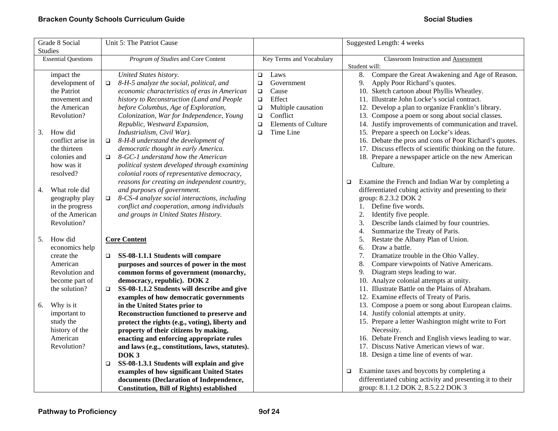| Grade 8 Social             | Unit 5: The Patriot Cause                               |                                      | Suggested Length: 4 weeks                                   |
|----------------------------|---------------------------------------------------------|--------------------------------------|-------------------------------------------------------------|
| <b>Studies</b>             |                                                         |                                      |                                                             |
| <b>Essential Questions</b> | Program of Studies and Core Content                     | Key Terms and Vocabulary             | Classroom Instruction and Assessment                        |
|                            |                                                         |                                      | Student will:                                               |
| impact the                 | United States history.                                  | Laws<br>$\Box$                       | Compare the Great Awakening and Age of Reason.<br>8.        |
| development of             | 8-H-5 analyze the social, political, and<br>$\Box$      | Government<br>$\Box$                 | 9. Apply Poor Richard's quotes.                             |
| the Patriot                | economic characteristics of eras in American            | Cause<br>$\Box$                      | 10. Sketch cartoon about Phyllis Wheatley.                  |
| movement and               | history to Reconstruction (Land and People              | Effect<br>$\Box$                     | 11. Illustrate John Locke's social contract.                |
| the American               | before Columbus, Age of Exploration,                    | Multiple causation<br>$\Box$         | 12. Develop a plan to organize Franklin's library.          |
| Revolution?                | Colonization, War for Independence, Young               | Conflict<br>$\Box$                   | 13. Compose a poem or song about social classes.            |
|                            | Republic, Westward Expansion,                           | <b>Elements of Culture</b><br>$\Box$ | 14. Justify improvements of communication and travel.       |
| How did<br>3.              | Industrialism, Civil War).                              | Time Line<br>$\Box$                  | 15. Prepare a speech on Locke's ideas.                      |
| conflict arise in          | 8-H-8 understand the development of<br>$\Box$           |                                      | 16. Debate the pros and cons of Poor Richard's quotes.      |
| the thirteen               | democratic thought in early America.                    |                                      | 17. Discuss effects of scientific thinking on the future.   |
| colonies and               | 8-GC-1 understand how the American<br>$\Box$            |                                      | 18. Prepare a newspaper article on the new American         |
| how was it                 | political system developed through examining            |                                      | Culture.                                                    |
| resolved?                  | colonial roots of representative democracy,             |                                      |                                                             |
|                            | reasons for creating an independent country,            |                                      | Examine the French and Indian War by completing a<br>$\Box$ |
| What role did<br>4.        | and purposes of government.                             |                                      | differentiated cubing activity and presenting to their      |
| geography play             | 8-CS-4 analyze social interactions, including<br>$\Box$ |                                      | group: 8.2.3.2 DOK 2                                        |
| in the progress            | conflict and cooperation, among individuals             |                                      | 1. Define five words.                                       |
| of the American            | and groups in United States History.                    |                                      | 2.<br>Identify five people.                                 |
| Revolution?                |                                                         |                                      | Describe lands claimed by four countries.<br>3.             |
|                            |                                                         |                                      | Summarize the Treaty of Paris.<br>4.                        |
| How did<br>5.              | <b>Core Content</b>                                     |                                      | Restate the Albany Plan of Union.<br>5.                     |
| economics help             |                                                         |                                      | Draw a battle.<br>6.                                        |
| create the                 | SS-08-1.1.1 Students will compare<br>$\Box$             |                                      | Dramatize trouble in the Ohio Valley.<br>7.                 |
| American                   | purposes and sources of power in the most               |                                      | Compare viewpoints of Native Americans.<br>8.               |
| Revolution and             | common forms of government (monarchy,                   |                                      | Diagram steps leading to war.<br>9.                         |
| become part of             | democracy, republic). DOK 2                             |                                      | 10. Analyze colonial attempts at unity.                     |
| the solution?              | SS-08-1.1.2 Students will describe and give<br>$\Box$   |                                      | 11. Illustrate Battle on the Plains of Abraham.             |
|                            | examples of how democratic governments                  |                                      | 12. Examine effects of Treaty of Paris.                     |
| Why is it<br>6.            | in the United States prior to                           |                                      | 13. Compose a poem or song about European claims.           |
| important to               | Reconstruction functioned to preserve and               |                                      | 14. Justify colonial attempts at unity.                     |
| study the                  | protect the rights (e.g., voting), liberty and          |                                      | 15. Prepare a letter Washington might write to Fort         |
| history of the             | property of their citizens by making,                   |                                      | Necessity.                                                  |
| American                   | enacting and enforcing appropriate rules                |                                      | 16. Debate French and English views leading to war.         |
| Revolution?                | and laws (e.g., constitutions, laws, statutes).         |                                      | 17. Discuss Native American views of war.                   |
|                            | DOK <sub>3</sub>                                        |                                      | 18. Design a time line of events of war.                    |
|                            | SS-08-1.3.1 Students will explain and give<br>$\Box$    |                                      |                                                             |
|                            | examples of how significant United States               |                                      | Examine taxes and boycotts by completing a<br>$\Box$        |
|                            | documents (Declaration of Independence,                 |                                      | differentiated cubing activity and presenting it to their   |
|                            | <b>Constitution, Bill of Rights) established</b>        |                                      | group: 8.1.1.2 DOK 2, 8.5.2.2 DOK 3                         |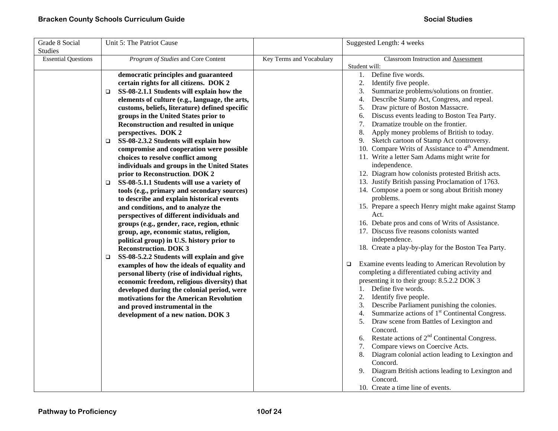| Grade 8 Social<br>Studies  | Unit 5: The Patriot Cause                                                                                                                                                                                                                                                                                                                                                                                                                                                                                                                                                                                                                                                                                                                                                                                                                                                                                                                                                                                                                                                                                                                                                                                                                                                                                                                      |                          | Suggested Length: 4 weeks                                                                                                                                                                                                                                                                                                                                                                                                                                                                                                                                                                                                                                                                                                                                                                                                                                                                                                                                                                                                                                                                                                                                                                                                                                                                                                                                                                                                                                                                                                                                                                                                                     |
|----------------------------|------------------------------------------------------------------------------------------------------------------------------------------------------------------------------------------------------------------------------------------------------------------------------------------------------------------------------------------------------------------------------------------------------------------------------------------------------------------------------------------------------------------------------------------------------------------------------------------------------------------------------------------------------------------------------------------------------------------------------------------------------------------------------------------------------------------------------------------------------------------------------------------------------------------------------------------------------------------------------------------------------------------------------------------------------------------------------------------------------------------------------------------------------------------------------------------------------------------------------------------------------------------------------------------------------------------------------------------------|--------------------------|-----------------------------------------------------------------------------------------------------------------------------------------------------------------------------------------------------------------------------------------------------------------------------------------------------------------------------------------------------------------------------------------------------------------------------------------------------------------------------------------------------------------------------------------------------------------------------------------------------------------------------------------------------------------------------------------------------------------------------------------------------------------------------------------------------------------------------------------------------------------------------------------------------------------------------------------------------------------------------------------------------------------------------------------------------------------------------------------------------------------------------------------------------------------------------------------------------------------------------------------------------------------------------------------------------------------------------------------------------------------------------------------------------------------------------------------------------------------------------------------------------------------------------------------------------------------------------------------------------------------------------------------------|
| <b>Essential Questions</b> | Program of Studies and Core Content                                                                                                                                                                                                                                                                                                                                                                                                                                                                                                                                                                                                                                                                                                                                                                                                                                                                                                                                                                                                                                                                                                                                                                                                                                                                                                            | Key Terms and Vocabulary | Classroom Instruction and Assessment<br>Student will:                                                                                                                                                                                                                                                                                                                                                                                                                                                                                                                                                                                                                                                                                                                                                                                                                                                                                                                                                                                                                                                                                                                                                                                                                                                                                                                                                                                                                                                                                                                                                                                         |
|                            | democratic principles and guaranteed<br>certain rights for all citizens. DOK 2<br>SS-08-2.1.1 Students will explain how the<br>□<br>elements of culture (e.g., language, the arts,<br>customs, beliefs, literature) defined specific<br>groups in the United States prior to<br>Reconstruction and resulted in unique<br>perspectives. DOK 2<br>SS-08-2.3.2 Students will explain how<br>$\Box$<br>compromise and cooperation were possible<br>choices to resolve conflict among<br>individuals and groups in the United States<br>prior to Reconstruction. DOK 2<br>SS-08-5.1.1 Students will use a variety of<br>$\Box$<br>tools (e.g., primary and secondary sources)<br>to describe and explain historical events<br>and conditions, and to analyze the<br>perspectives of different individuals and<br>groups (e.g., gender, race, region, ethnic<br>group, age, economic status, religion,<br>political group) in U.S. history prior to<br><b>Reconstruction. DOK 3</b><br>SS-08-5.2.2 Students will explain and give<br>□<br>examples of how the ideals of equality and<br>personal liberty (rise of individual rights,<br>economic freedom, religious diversity) that<br>developed during the colonial period, were<br>motivations for the American Revolution<br>and proved instrumental in the<br>development of a new nation. DOK 3 |                          | Define five words.<br>1.<br>2.<br>Identify five people.<br>Summarize problems/solutions on frontier.<br>3.<br>Describe Stamp Act, Congress, and repeal.<br>4.<br>Draw picture of Boston Massacre.<br>5.<br>Discuss events leading to Boston Tea Party.<br>6.<br>Dramatize trouble on the frontier.<br>7.<br>Apply money problems of British to today.<br>8.<br>Sketch cartoon of Stamp Act controversy.<br>9.<br>10. Compare Writs of Assistance to 4 <sup>th</sup> Amendment.<br>11. Write a letter Sam Adams might write for<br>independence.<br>12. Diagram how colonists protested British acts.<br>13. Justify British passing Proclamation of 1763.<br>14. Compose a poem or song about British money<br>problems.<br>15. Prepare a speech Henry might make against Stamp<br>Act.<br>16. Debate pros and cons of Writs of Assistance.<br>17. Discuss five reasons colonists wanted<br>independence.<br>18. Create a play-by-play for the Boston Tea Party.<br>Examine events leading to American Revolution by<br>▫<br>completing a differentiated cubing activity and<br>presenting it to their group: 8.5.2.2 DOK 3<br>1. Define five words.<br>Identify five people.<br>2.<br>Describe Parliament punishing the colonies.<br>3.<br>Summarize actions of 1 <sup>st</sup> Continental Congress.<br>4.<br>Draw scene from Battles of Lexington and<br>Concord.<br>6. Restate actions of $2nd$ Continental Congress.<br>Compare views on Coercive Acts.<br>Diagram colonial action leading to Lexington and<br>8.<br>Concord.<br>Diagram British actions leading to Lexington and<br>9.<br>Concord.<br>10. Create a time line of events. |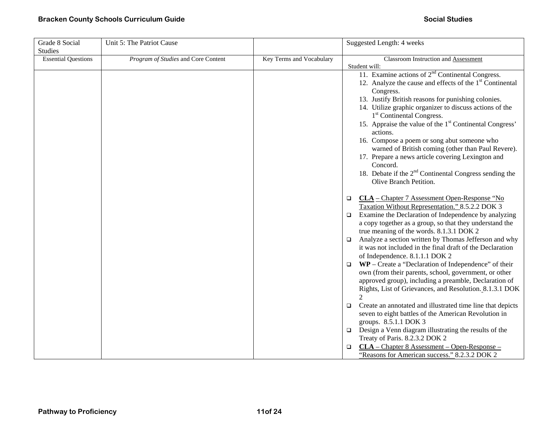| Grade 8 Social             | Unit 5: The Patriot Cause           |                          | Suggested Length: 4 weeks                                                       |
|----------------------------|-------------------------------------|--------------------------|---------------------------------------------------------------------------------|
| <b>Studies</b>             |                                     |                          |                                                                                 |
| <b>Essential Questions</b> | Program of Studies and Core Content | Key Terms and Vocabulary | Classroom Instruction and Assessment                                            |
|                            |                                     |                          | Student will:                                                                   |
|                            |                                     |                          | 11. Examine actions of $2nd$ Continental Congress.                              |
|                            |                                     |                          | 12. Analyze the cause and effects of the $1st$ Continental                      |
|                            |                                     |                          | Congress.                                                                       |
|                            |                                     |                          | 13. Justify British reasons for punishing colonies.                             |
|                            |                                     |                          | 14. Utilize graphic organizer to discuss actions of the                         |
|                            |                                     |                          | 1 <sup>st</sup> Continental Congress.                                           |
|                            |                                     |                          | 15. Appraise the value of the 1 <sup>st</sup> Continental Congress'<br>actions. |
|                            |                                     |                          | 16. Compose a poem or song abut someone who                                     |
|                            |                                     |                          | warned of British coming (other than Paul Revere).                              |
|                            |                                     |                          | 17. Prepare a news article covering Lexington and                               |
|                            |                                     |                          | Concord.                                                                        |
|                            |                                     |                          | 18. Debate if the $2nd$ Continental Congress sending the                        |
|                            |                                     |                          | Olive Branch Petition.                                                          |
|                            |                                     |                          | $CLA$ – Chapter 7 Assessment Open-Response "No<br>$\Box$                        |
|                            |                                     |                          | Taxation Without Representation." 8.5.2.2 DOK 3                                 |
|                            |                                     |                          | Examine the Declaration of Independence by analyzing<br>$\Box$                  |
|                            |                                     |                          | a copy together as a group, so that they understand the                         |
|                            |                                     |                          | true meaning of the words. 8.1.3.1 DOK 2                                        |
|                            |                                     |                          | Analyze a section written by Thomas Jefferson and why<br>□                      |
|                            |                                     |                          | it was not included in the final draft of the Declaration                       |
|                            |                                     |                          | of Independence. 8.1.1.1 DOK 2                                                  |
|                            |                                     |                          | WP – Create a "Declaration of Independence" of their<br>$\Box$                  |
|                            |                                     |                          | own (from their parents, school, government, or other                           |
|                            |                                     |                          | approved group), including a preamble, Declaration of                           |
|                            |                                     |                          | Rights, List of Grievances, and Resolution. 8.1.3.1 DOK                         |
|                            |                                     |                          | $\mathcal{D}$                                                                   |
|                            |                                     |                          | Create an annotated and illustrated time line that depicts<br>$\Box$            |
|                            |                                     |                          | seven to eight battles of the American Revolution in                            |
|                            |                                     |                          | groups. 8.5.1.1 DOK 3                                                           |
|                            |                                     |                          | Design a Venn diagram illustrating the results of the<br>$\Box$                 |
|                            |                                     |                          | Treaty of Paris. 8.2.3.2 DOK 2                                                  |
|                            |                                     |                          | $CLA - Chapter 8$ Assessment – Open-Response –<br>$\Box$                        |
|                            |                                     |                          | "Reasons for American success." 8.2.3.2 DOK 2                                   |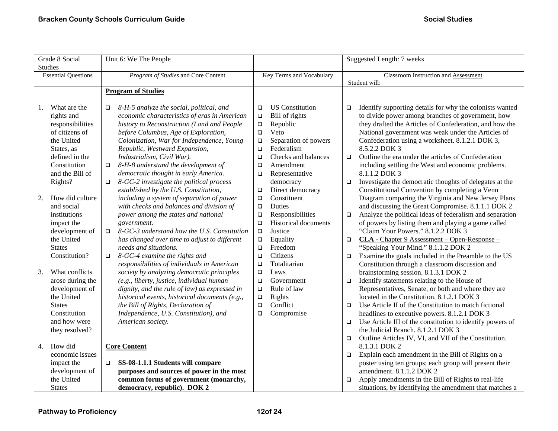|    | Grade 8 Social                               | Unit 6: We The People                                                              |                          |                             | Suggested Length: 7 weeks            |                                                                                                              |
|----|----------------------------------------------|------------------------------------------------------------------------------------|--------------------------|-----------------------------|--------------------------------------|--------------------------------------------------------------------------------------------------------------|
|    | <b>Studies</b><br><b>Essential Questions</b> | Program of Studies and Core Content                                                | Key Terms and Vocabulary |                             | Classroom Instruction and Assessment |                                                                                                              |
|    |                                              |                                                                                    |                          |                             |                                      | Student will:                                                                                                |
|    |                                              | <b>Program of Studies</b>                                                          |                          |                             |                                      |                                                                                                              |
|    |                                              |                                                                                    |                          |                             |                                      |                                                                                                              |
| 1. | What are the                                 | 8-H-5 analyze the social, political, and<br>$\Box$                                 | $\Box$                   | <b>US</b> Constitution      | $\Box$                               | Identify supporting details for why the colonists wanted                                                     |
|    | rights and                                   | economic characteristics of eras in American                                       | $\Box$                   | Bill of rights              |                                      | to divide power among branches of government, how<br>they drafted the Articles of Confederation, and how the |
|    | responsibilities<br>of citizens of           | history to Reconstruction (Land and People<br>before Columbus, Age of Exploration, | $\Box$<br>$\Box$         | Republic<br>Veto            |                                      | National government was weak under the Articles of                                                           |
|    | the United                                   | Colonization, War for Independence, Young                                          | $\Box$                   | Separation of powers        |                                      | Confederation using a worksheet. 8.1.2.1 DOK 3,                                                              |
|    | States, as                                   | Republic, Westward Expansion,                                                      | $\Box$                   | Federalism                  |                                      | 8.5.2.2 DOK 3                                                                                                |
|    | defined in the                               | Industrialism, Civil War).                                                         | $\Box$                   | Checks and balances         | $\Box$                               | Outline the era under the articles of Confederation                                                          |
|    | Constitution                                 | 8-H-8 understand the development of<br>$\Box$                                      | $\Box$                   | Amendment                   |                                      | including settling the West and economic problems.                                                           |
|    | and the Bill of                              | democratic thought in early America.                                               | $\Box$                   | Representative              |                                      | 8.1.1.2 DOK 3                                                                                                |
|    | Rights?                                      | 8-GC-2 investigate the political process<br>$\Box$                                 |                          | democracy                   | $\Box$                               | Investigate the democratic thoughts of delegates at the                                                      |
|    |                                              | established by the U.S. Constitution,                                              | $\Box$                   | Direct democracy            |                                      | Constitutional Convention by completing a Venn                                                               |
| 2. | How did culture                              | including a system of separation of power                                          | $\Box$                   | Constituent                 |                                      | Diagram comparing the Virginia and New Jersey Plans                                                          |
|    | and social                                   | with checks and balances and division of                                           | $\Box$                   | Duties                      |                                      | and discussing the Great Compromise. 8.1.1.1 DOK 2                                                           |
|    | institutions                                 | power among the states and national                                                | $\Box$                   | Responsibilities            | $\Box$                               | Analyze the political ideas of federalism and separation                                                     |
|    | impact the                                   | government.                                                                        | $\Box$                   | <b>Historical documents</b> |                                      | of powers by listing them and playing a game called                                                          |
|    | development of                               | 8-GC-3 understand how the U.S. Constitution<br>$\Box$                              | $\Box$                   | Justice                     |                                      | "Claim Your Powers." 8.1.2.2 DOK 3                                                                           |
|    | the United                                   | has changed over time to adjust to different                                       | $\Box$                   | Equality                    | $\Box$                               | CLA - Chapter 9 Assessment - Open-Response -                                                                 |
|    | <b>States</b>                                | needs and situations.                                                              | $\Box$                   | Freedom                     |                                      | "Speaking Your Mind." 8.1.1.2 DOK 2                                                                          |
|    | Constitution?                                | 8-GC-4 examine the rights and<br>$\Box$                                            | $\Box$                   | Citizens                    | $\Box$                               | Examine the goals included in the Preamble to the US                                                         |
|    |                                              | responsibilities of individuals in American                                        | $\Box$                   | Totalitarian                |                                      | Constitution through a classroom discussion and                                                              |
| 3. | What conflicts                               | society by analyzing democratic principles                                         | $\Box$                   | Laws                        |                                      | brainstorming session. 8.1.3.1 DOK 2                                                                         |
|    | arose during the                             | (e.g., liberty, justice, individual human                                          | $\Box$                   | Government                  | $\Box$                               | Identify statements relating to the House of                                                                 |
|    | development of                               | dignity, and the rule of law) as expressed in                                      | $\Box$                   | Rule of law                 |                                      | Representatives, Senate, or both and where they are                                                          |
|    | the United                                   | historical events, historical documents (e.g.,                                     | $\Box$                   | Rights                      |                                      | located in the Constitution. 8.1.2.1 DOK 3                                                                   |
|    | <b>States</b>                                | the Bill of Rights, Declaration of                                                 | $\Box$                   | Conflict                    | $\Box$                               | Use Article II of the Constitution to match fictional                                                        |
|    | Constitution                                 | Independence, U.S. Constitution), and                                              | $\Box$                   | Compromise                  |                                      | headlines to executive powers. 8.1.2.1 DOK 3                                                                 |
|    | and how were                                 | American society.                                                                  |                          |                             | $\Box$                               | Use Article III of the constitution to identify powers of                                                    |
|    | they resolved?                               |                                                                                    |                          |                             |                                      | the Judicial Branch. 8.1.2.1 DOK 3                                                                           |
| 4. | How did                                      | <b>Core Content</b>                                                                |                          |                             | $\Box$                               | Outline Articles IV, VI, and VII of the Constitution.<br>8.1.3.1 DOK 2                                       |
|    | economic issues                              |                                                                                    |                          |                             | $\Box$                               | Explain each amendment in the Bill of Rights on a                                                            |
|    | impact the                                   | SS-08-1.1.1 Students will compare<br>$\Box$                                        |                          |                             |                                      | poster using ten groups; each group will present their                                                       |
|    | development of                               | purposes and sources of power in the most                                          |                          |                             |                                      | amendment. 8.1.1.2 DOK 2                                                                                     |
|    | the United                                   | common forms of government (monarchy,                                              |                          |                             | □                                    | Apply amendments in the Bill of Rights to real-life                                                          |
|    | <b>States</b>                                | democracy, republic). DOK 2                                                        |                          |                             |                                      | situations, by identifying the amendment that matches a                                                      |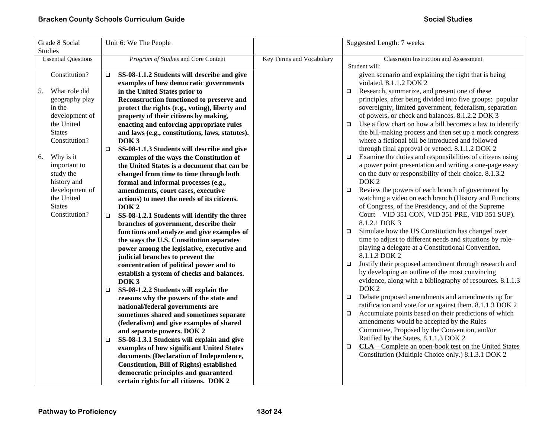| Grade 8 Social             | Unit 6: We The People                                  |                          | Suggested Length: 7 weeks                                              |
|----------------------------|--------------------------------------------------------|--------------------------|------------------------------------------------------------------------|
| Studies                    |                                                        |                          |                                                                        |
| <b>Essential Questions</b> | Program of Studies and Core Content                    | Key Terms and Vocabulary | Classroom Instruction and Assessment                                   |
|                            |                                                        |                          | Student will:                                                          |
| Constitution?              | SS-08-1.1.2 Students will describe and give<br>$\Box$  |                          | given scenario and explaining the right that is being                  |
|                            | examples of how democratic governments                 |                          | violated. 8.1.1.2 DOK 2                                                |
| What role did<br>5.        | in the United States prior to                          |                          | Research, summarize, and present one of these<br>$\Box$                |
| geography play             | Reconstruction functioned to preserve and              |                          | principles, after being divided into five groups: popular              |
| in the                     | protect the rights (e.g., voting), liberty and         |                          | sovereignty, limited government, federalism, separation                |
| development of             | property of their citizens by making,                  |                          | of powers, or check and balances. 8.1.2.2 DOK 3                        |
| the United                 | enacting and enforcing appropriate rules               |                          | Use a flow chart on how a bill becomes a law to identify<br>$\Box$     |
| <b>States</b>              | and laws (e.g., constitutions, laws, statutes).        |                          | the bill-making process and then set up a mock congress                |
| Constitution?              | DOK <sub>3</sub>                                       |                          | where a fictional bill be introduced and followed                      |
|                            | SS-08-1.1.3 Students will describe and give<br>$\Box$  |                          | through final approval or vetoed. 8.1.1.2 DOK 2                        |
| Why is it<br>6.            | examples of the ways the Constitution of               |                          | Examine the duties and responsibilities of citizens using<br>$\Box$    |
| important to               | the United States is a document that can be            |                          | a power point presentation and writing a one-page essay                |
| study the                  | changed from time to time through both                 |                          | on the duty or responsibility of their choice. 8.1.3.2                 |
| history and                | formal and informal processes (e.g.,                   |                          | DOK <sub>2</sub>                                                       |
| development of             | amendments, court cases, executive                     |                          | Review the powers of each branch of government by<br>$\Box$            |
| the United                 | actions) to meet the needs of its citizens.            |                          | watching a video on each branch (History and Functions                 |
| <b>States</b>              | DOK <sub>2</sub>                                       |                          | of Congress, of the Presidency, and of the Supreme                     |
| Constitution?              | SS-08-1.2.1 Students will identify the three<br>$\Box$ |                          | Court - VID 351 CON, VID 351 PRE, VID 351 SUP).                        |
|                            | branches of government, describe their                 |                          | 8.1.2.1 DOK 3                                                          |
|                            | functions and analyze and give examples of             |                          | Simulate how the US Constitution has changed over<br>$\Box$            |
|                            | the ways the U.S. Constitution separates               |                          | time to adjust to different needs and situations by role-              |
|                            | power among the legislative, executive and             |                          | playing a delegate at a Constitutional Convention.                     |
|                            | judicial branches to prevent the                       |                          | 8.1.1.3 DOK 2                                                          |
|                            | concentration of political power and to                |                          | Justify their proposed amendment through research and<br>$\Box$        |
|                            | establish a system of checks and balances.             |                          | by developing an outline of the most convincing                        |
|                            | DOK <sub>3</sub>                                       |                          | evidence, along with a bibliography of resources. 8.1.1.3              |
|                            | SS-08-1.2.2 Students will explain the<br>$\Box$        |                          | DOK <sub>2</sub>                                                       |
|                            | reasons why the powers of the state and                |                          | Debate proposed amendments and amendments up for<br>$\Box$             |
|                            | national/federal governments are                       |                          | ratification and vote for or against them. 8.1.1.3 DOK 2               |
|                            | sometimes shared and sometimes separate                |                          | Accumulate points based on their predictions of which<br>$\Box$        |
|                            | (federalism) and give examples of shared               |                          | amendments would be accepted by the Rules                              |
|                            | and separate powers. DOK 2                             |                          | Committee, Proposed by the Convention, and/or                          |
|                            | SS-08-1.3.1 Students will explain and give<br>$\Box$   |                          | Ratified by the States. 8.1.1.3 DOK 2                                  |
|                            | examples of how significant United States              |                          | <b>CLA</b> – Complete an open-book test on the United States<br>$\Box$ |
|                            | documents (Declaration of Independence,                |                          | Constitution (Multiple Choice only.) 8.1.3.1 DOK 2                     |
|                            | <b>Constitution, Bill of Rights) established</b>       |                          |                                                                        |
|                            | democratic principles and guaranteed                   |                          |                                                                        |
|                            | certain rights for all citizens. DOK 2                 |                          |                                                                        |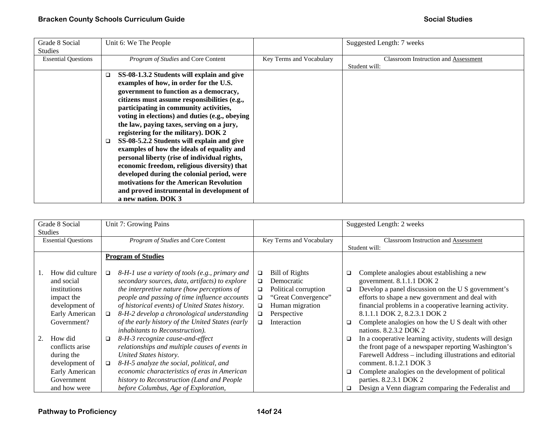| Grade 8 Social<br><b>Studies</b> | Unit 6: We The People                                                                                                                                                                                                                                                                                                                                                                                                                                                                                                                                                                                                                                                                                                        |                          | Suggested Length: 7 weeks                                    |
|----------------------------------|------------------------------------------------------------------------------------------------------------------------------------------------------------------------------------------------------------------------------------------------------------------------------------------------------------------------------------------------------------------------------------------------------------------------------------------------------------------------------------------------------------------------------------------------------------------------------------------------------------------------------------------------------------------------------------------------------------------------------|--------------------------|--------------------------------------------------------------|
| <b>Essential Questions</b>       | Program of Studies and Core Content                                                                                                                                                                                                                                                                                                                                                                                                                                                                                                                                                                                                                                                                                          | Key Terms and Vocabulary | <b>Classroom Instruction and Assessment</b><br>Student will: |
|                                  | SS-08-1.3.2 Students will explain and give<br>□<br>examples of how, in order for the U.S.<br>government to function as a democracy,<br>citizens must assume responsibilities (e.g.,<br>participating in community activities,<br>voting in elections) and duties (e.g., obeying<br>the law, paying taxes, serving on a jury,<br>registering for the military). DOK 2<br>SS-08-5.2.2 Students will explain and give<br>examples of how the ideals of equality and<br>personal liberty (rise of individual rights,<br>economic freedom, religious diversity) that<br>developed during the colonial period, were<br>motivations for the American Revolution<br>and proved instrumental in development of<br>a new nation. DOK 3 |                          |                                                              |

| Grade 8 Social |                            |        | Unit 7: Growing Pains                            |        |                          |        | Suggested Length: 2 weeks                                |  |
|----------------|----------------------------|--------|--------------------------------------------------|--------|--------------------------|--------|----------------------------------------------------------|--|
| Studies        |                            |        |                                                  |        |                          |        |                                                          |  |
|                | <b>Essential Questions</b> |        | Program of Studies and Core Content              |        | Key Terms and Vocabulary |        | <b>Classroom Instruction and Assessment</b>              |  |
|                |                            |        |                                                  |        |                          |        | Student will:                                            |  |
|                |                            |        |                                                  |        |                          |        |                                                          |  |
|                |                            |        | <b>Program of Studies</b>                        |        |                          |        |                                                          |  |
|                |                            |        |                                                  |        |                          |        |                                                          |  |
|                | How did culture            | $\Box$ | 8-H-1 use a variety of tools (e.g., primary and  | $\Box$ | Bill of Rights           | □      | Complete analogies about establishing a new              |  |
|                | and social                 |        | secondary sources, data, artifacts) to explore   | □      | Democratic               |        | government. 8.1.1.1 DOK 2                                |  |
|                | institutions               |        | the interpretive nature (how perceptions of      | $\Box$ | Political corruption     | $\Box$ | Develop a panel discussion on the U S government's       |  |
|                |                            |        |                                                  |        |                          |        |                                                          |  |
|                | impact the                 |        | people and passing of time influence accounts    | $\Box$ | "Great Convergence"      |        | efforts to shape a new government and deal with          |  |
|                | development of             |        | of historical events) of United States history.  | $\Box$ | Human migration          |        | financial problems in a cooperative learning activity.   |  |
|                | Early American             | $\Box$ | 8-H-2 develop a chronological understanding      | $\Box$ | Perspective              |        | 8.1.1.1 DOK 2, 8.2.3.1 DOK 2                             |  |
|                | Government?                |        | of the early history of the United States (early | □      | Interaction              | □      | Complete analogies on how the U S dealt with other       |  |
|                |                            |        | inhabitants to Reconstruction).                  |        |                          |        | nations, 8.2.3.2 DOK 2                                   |  |
| 2.             | How did                    |        | 8-H-3 recognize cause-and-effect                 |        |                          |        | In a cooperative learning activity, students will design |  |
|                |                            | $\Box$ |                                                  |        |                          | □      |                                                          |  |
|                | conflicts arise            |        | relationships and multiple causes of events in   |        |                          |        | the front page of a newspaper reporting Washington's     |  |
|                | during the                 |        | United States history.                           |        |                          |        | Farewell Address - including illustrations and editorial |  |
|                | development of             | $\Box$ | 8-H-5 analyze the social, political, and         |        |                          |        | comment. 8.1.2.1 DOK 3                                   |  |
|                | Early American             |        | economic characteristics of eras in American     |        |                          | □      | Complete analogies on the development of political       |  |
|                | Government                 |        | history to Reconstruction (Land and People       |        |                          |        | parties. 8.2.3.1 DOK 2                                   |  |
|                | and how were               |        | before Columbus, Age of Exploration,             |        |                          | □      | Design a Venn diagram comparing the Federalist and       |  |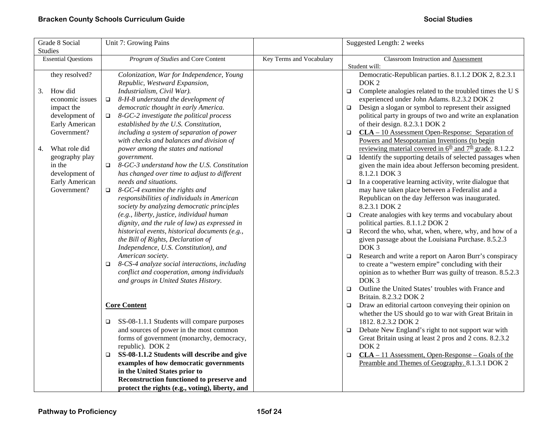| Grade 8 Social             | Unit 7: Growing Pains                                   |                          | Suggested Length: 2 weeks                                                        |
|----------------------------|---------------------------------------------------------|--------------------------|----------------------------------------------------------------------------------|
| <b>Studies</b>             |                                                         |                          |                                                                                  |
| <b>Essential Questions</b> | Program of Studies and Core Content                     | Key Terms and Vocabulary | Classroom Instruction and Assessment                                             |
|                            |                                                         |                          | Student will:                                                                    |
| they resolved?             | Colonization, War for Independence, Young               |                          | Democratic-Republican parties. 8.1.1.2 DOK 2, 8.2.3.1                            |
|                            | Republic, Westward Expansion,                           |                          | DOK <sub>2</sub>                                                                 |
| How did<br>3.              | Industrialism, Civil War).                              |                          | Complete analogies related to the troubled times the U S<br>$\Box$               |
| economic issues            | 8-H-8 understand the development of<br>$\Box$           |                          | experienced under John Adams. 8.2.3.2 DOK 2                                      |
| impact the                 | democratic thought in early America.                    |                          | Design a slogan or symbol to represent their assigned<br>$\Box$                  |
| development of             | 8-GC-2 investigate the political process<br>$\Box$      |                          | political party in groups of two and write an explanation                        |
| Early American             | established by the U.S. Constitution,                   |                          | of their design. 8.2.3.1 DOK 2                                                   |
| Government?                | including a system of separation of power               |                          | $CLA - 10$ Assessment Open-Response: Separation of<br>$\Box$                     |
|                            | with checks and balances and division of                |                          | Powers and Mesopotamian Inventions (to begin                                     |
| What role did<br>4.        | power among the states and national                     |                          | reviewing material covered in $6^{\text{th}}$ and $7^{\text{th}}$ grade. 8.1.2.2 |
| geography play             | government.                                             |                          | Identify the supporting details of selected passages when<br>$\Box$              |
| in the                     | 8-GC-3 understand how the U.S. Constitution<br>$\Box$   |                          | given the main idea about Jefferson becoming president.                          |
| development of             | has changed over time to adjust to different            |                          | 8.1.2.1 DOK 3                                                                    |
| Early American             | needs and situations.                                   |                          | In a cooperative learning activity, write dialogue that<br>$\Box$                |
| Government?                | 8-GC-4 examine the rights and<br>$\Box$                 |                          | may have taken place between a Federalist and a                                  |
|                            | responsibilities of individuals in American             |                          | Republican on the day Jefferson was inaugurated.                                 |
|                            | society by analyzing democratic principles              |                          | 8.2.3.1 DOK 2                                                                    |
|                            | (e.g., liberty, justice, individual human               |                          | Create analogies with key terms and vocabulary about<br>$\Box$                   |
|                            | dignity, and the rule of law) as expressed in           |                          | political parties. 8.1.1.2 DOK 2                                                 |
|                            | historical events, historical documents (e.g.,          |                          | Record the who, what, when, where, why, and how of a<br>$\Box$                   |
|                            | the Bill of Rights, Declaration of                      |                          | given passage about the Louisiana Purchase. 8.5.2.3                              |
|                            | Independence, U.S. Constitution), and                   |                          | DOK <sub>3</sub>                                                                 |
|                            | American society.                                       |                          | Research and write a report on Aaron Burr's conspiracy<br>$\Box$                 |
|                            | 8-CS-4 analyze social interactions, including<br>$\Box$ |                          | to create a "western empire" concluding with their                               |
|                            | conflict and cooperation, among individuals             |                          | opinion as to whether Burr was guilty of treason. 8.5.2.3                        |
|                            | and groups in United States History.                    |                          | DOK <sub>3</sub>                                                                 |
|                            |                                                         |                          | Outline the United States' troubles with France and<br>$\Box$                    |
|                            |                                                         |                          | Britain. 8.2.3.2 DOK 2                                                           |
|                            | <b>Core Content</b>                                     |                          | Draw an editorial cartoon conveying their opinion on<br>$\Box$                   |
|                            |                                                         |                          | whether the US should go to war with Great Britain in                            |
|                            | SS-08-1.1.1 Students will compare purposes<br>$\Box$    |                          | 1812. 8.2.3.2 DOK 2                                                              |
|                            | and sources of power in the most common                 |                          | Debate New England's right to not support war with                               |
|                            | forms of government (monarchy, democracy,               |                          | Great Britain using at least 2 pros and 2 cons. 8.2.3.2                          |
|                            | republic). DOK 2                                        |                          | DOK <sub>2</sub>                                                                 |
|                            | SS-08-1.1.2 Students will describe and give<br>$\Box$   |                          | $CLA - 11$ Assessment, Open-Response – Goals of the<br>$\Box$                    |
|                            | examples of how democratic governments                  |                          | Preamble and Themes of Geography. 8.1.3.1 DOK 2                                  |
|                            | in the United States prior to                           |                          |                                                                                  |
|                            | Reconstruction functioned to preserve and               |                          |                                                                                  |
|                            | protect the rights (e.g., voting), liberty, and         |                          |                                                                                  |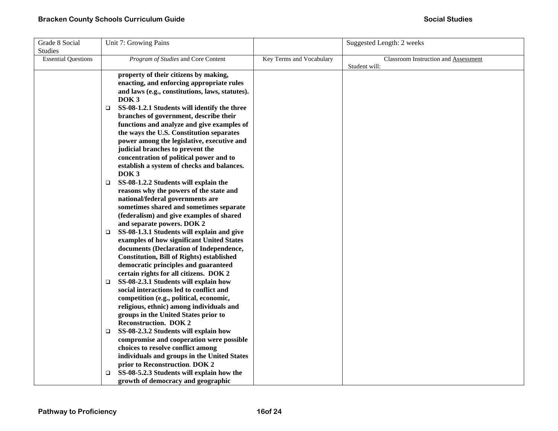| Grade 8 Social             | Unit 7: Growing Pains                                                                |                          | Suggested Length: 2 weeks                   |
|----------------------------|--------------------------------------------------------------------------------------|--------------------------|---------------------------------------------|
| <b>Studies</b>             |                                                                                      |                          |                                             |
| <b>Essential Questions</b> | Program of Studies and Core Content                                                  | Key Terms and Vocabulary | <b>Classroom Instruction and Assessment</b> |
|                            |                                                                                      |                          | Student will:                               |
|                            | property of their citizens by making,                                                |                          |                                             |
|                            | enacting, and enforcing appropriate rules                                            |                          |                                             |
|                            | and laws (e.g., constitutions, laws, statutes).                                      |                          |                                             |
|                            | DOK <sub>3</sub>                                                                     |                          |                                             |
|                            | SS-08-1.2.1 Students will identify the three<br>□                                    |                          |                                             |
|                            | branches of government, describe their                                               |                          |                                             |
|                            | functions and analyze and give examples of                                           |                          |                                             |
|                            | the ways the U.S. Constitution separates                                             |                          |                                             |
|                            | power among the legislative, executive and                                           |                          |                                             |
|                            | judicial branches to prevent the                                                     |                          |                                             |
|                            | concentration of political power and to                                              |                          |                                             |
|                            | establish a system of checks and balances.                                           |                          |                                             |
|                            | DOK <sub>3</sub>                                                                     |                          |                                             |
|                            | SS-08-1.2.2 Students will explain the<br>$\Box$                                      |                          |                                             |
|                            | reasons why the powers of the state and                                              |                          |                                             |
|                            | national/federal governments are                                                     |                          |                                             |
|                            | sometimes shared and sometimes separate                                              |                          |                                             |
|                            | (federalism) and give examples of shared                                             |                          |                                             |
|                            | and separate powers. DOK 2                                                           |                          |                                             |
|                            | SS-08-1.3.1 Students will explain and give<br>$\Box$                                 |                          |                                             |
|                            | examples of how significant United States<br>documents (Declaration of Independence, |                          |                                             |
|                            | <b>Constitution, Bill of Rights) established</b>                                     |                          |                                             |
|                            | democratic principles and guaranteed                                                 |                          |                                             |
|                            | certain rights for all citizens. DOK 2                                               |                          |                                             |
|                            | SS-08-2.3.1 Students will explain how<br>□                                           |                          |                                             |
|                            | social interactions led to conflict and                                              |                          |                                             |
|                            | competition (e.g., political, economic,                                              |                          |                                             |
|                            | religious, ethnic) among individuals and                                             |                          |                                             |
|                            | groups in the United States prior to                                                 |                          |                                             |
|                            | <b>Reconstruction. DOK 2</b>                                                         |                          |                                             |
|                            | SS-08-2.3.2 Students will explain how<br>□                                           |                          |                                             |
|                            | compromise and cooperation were possible                                             |                          |                                             |
|                            | choices to resolve conflict among                                                    |                          |                                             |
|                            | individuals and groups in the United States                                          |                          |                                             |
|                            | prior to Reconstruction. DOK 2                                                       |                          |                                             |
|                            | SS-08-5.2.3 Students will explain how the<br>◻                                       |                          |                                             |
|                            | growth of democracy and geographic                                                   |                          |                                             |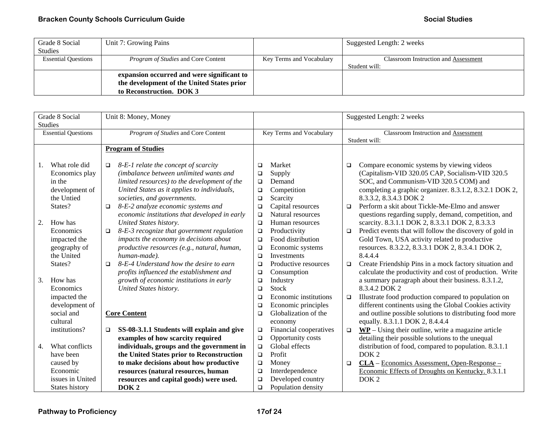| Grade 8 Social             | Unit 7: Growing Pains                      |                          | Suggested Length: 2 weeks                   |
|----------------------------|--------------------------------------------|--------------------------|---------------------------------------------|
| <b>Studies</b>             |                                            |                          |                                             |
| <b>Essential Questions</b> | <i>Program of Studies</i> and Core Content | Key Terms and Vocabulary | <b>Classroom Instruction and Assessment</b> |
|                            |                                            |                          | Student will:                               |
|                            | expansion occurred and were significant to |                          |                                             |
|                            | the development of the United States prior |                          |                                             |
|                            | to Reconstruction. DOK 3                   |                          |                                             |

| Grade 8 Social |                            | Unit 8: Money, Money |                                               |        | Suggested Length: 2 weeks |        |                                                          |  |
|----------------|----------------------------|----------------------|-----------------------------------------------|--------|---------------------------|--------|----------------------------------------------------------|--|
|                | <b>Studies</b>             |                      |                                               |        |                           |        |                                                          |  |
|                | <b>Essential Questions</b> |                      | Program of Studies and Core Content           |        | Key Terms and Vocabulary  |        | Classroom Instruction and Assessment                     |  |
|                |                            |                      |                                               |        |                           |        | Student will:                                            |  |
|                |                            |                      | <b>Program of Studies</b>                     |        |                           |        |                                                          |  |
|                |                            |                      |                                               |        |                           |        |                                                          |  |
| 1.             | What role did              | $\Box$               | 8-E-1 relate the concept of scarcity          | $\Box$ | Market                    | $\Box$ | Compare economic systems by viewing videos               |  |
|                | Economics play             |                      | (imbalance between unlimited wants and        | $\Box$ | Supply                    |        | (Capitalism-VID 320.05 CAP, Socialism-VID 320.5          |  |
|                | in the                     |                      | limited resources) to the development of the  | $\Box$ | Demand                    |        | SOC, and Communism-VID 320.5 COM) and                    |  |
|                | development of             |                      | United States as it applies to individuals,   | $\Box$ | Competition               |        | completing a graphic organizer. 8.3.1.2, 8.3.2.1 DOK 2,  |  |
|                | the Untied                 |                      | societies, and governments.                   | $\Box$ | Scarcity                  |        | 8.3.3.2, 8.3.4.3 DOK 2                                   |  |
|                | States?                    | $\Box$               | 8-E-2 analyze economic systems and            | $\Box$ | Capital resources         | $\Box$ | Perform a skit about Tickle-Me-Elmo and answer           |  |
|                |                            |                      | economic institutions that developed in early | $\Box$ | Natural resources         |        | questions regarding supply, demand, competition, and     |  |
| 2.             | How has                    |                      | United States history.                        | $\Box$ | Human resources           |        | scarcity. 8.3.1.1 DOK 2, 8.3.3.1 DOK 2, 8.3.3.3          |  |
|                | Economics                  | $\Box$               | 8-E-3 recognize that government regulation    | $\Box$ | Productivity              | $\Box$ | Predict events that will follow the discovery of gold in |  |
|                | impacted the               |                      | impacts the economy in decisions about        | $\Box$ | Food distribution         |        | Gold Town, USA activity related to productive            |  |
|                | geography of               |                      | productive resources (e.g., natural, human,   | $\Box$ | Economic systems          |        | resources. 8.3.2.2, 8.3.3.1 DOK 2, 8.3.4.1 DOK 2,        |  |
|                | the United                 |                      | human-made).                                  | $\Box$ | <b>Investments</b>        |        | 8.4.4.4                                                  |  |
|                | States?                    | $\Box$               | 8-E-4 Understand how the desire to earn       | $\Box$ | Productive resources      | $\Box$ | Create Friendship Pins in a mock factory situation and   |  |
|                |                            |                      | profits influenced the establishment and      | $\Box$ | Consumption               |        | calculate the productivity and cost of production. Write |  |
| 3.             | How has                    |                      | growth of economic institutions in early      | $\Box$ | Industry                  |        | a summary paragraph about their business. 8.3.1.2,       |  |
|                | Economics                  |                      | United States history.                        | $\Box$ | Stock                     |        | 8.3.4.2 DOK 2                                            |  |
|                | impacted the               |                      |                                               | $\Box$ | Economic institutions     | $\Box$ | Illustrate food production compared to population on     |  |
|                | development of             |                      |                                               | $\Box$ | Economic principles       |        | different continents using the Global Cookies activity   |  |
|                | social and                 |                      | <b>Core Content</b>                           | $\Box$ | Globalization of the      |        | and outline possible solutions to distributing food more |  |
|                | cultural                   |                      |                                               |        | economy                   |        | equally. 8.3.1.1 DOK 2, 8.4.4.4                          |  |
|                | institutions?              | $\Box$               | SS-08-3.1.1 Students will explain and give    | $\Box$ | Financial cooperatives    | $\Box$ | $WP$ – Using their outline, write a magazine article     |  |
|                |                            |                      | examples of how scarcity required             | $\Box$ | Opportunity costs         |        | detailing their possible solutions to the unequal        |  |
| 4.             | What conflicts             |                      | individuals, groups and the government in     | $\Box$ | Global effects            |        | distribution of food, compared to population. 8.3.1.1    |  |
|                | have been                  |                      | the United States prior to Reconstruction     | $\Box$ | Profit                    |        | DOK <sub>2</sub>                                         |  |
|                | caused by                  |                      | to make decisions about how productive        | $\Box$ | Money                     | $\Box$ | CLA – Economics Assessment, Open-Response –              |  |
|                | Economic                   |                      | resources (natural resources, human           | $\Box$ | Interdependence           |        | Economic Effects of Droughts on Kentucky. 8.3.1.1        |  |
|                | issues in United           |                      | resources and capital goods) were used.       | $\Box$ | Developed country         |        | DOK <sub>2</sub>                                         |  |
|                | States history             |                      | DOK <sub>2</sub>                              | $\Box$ | Population density        |        |                                                          |  |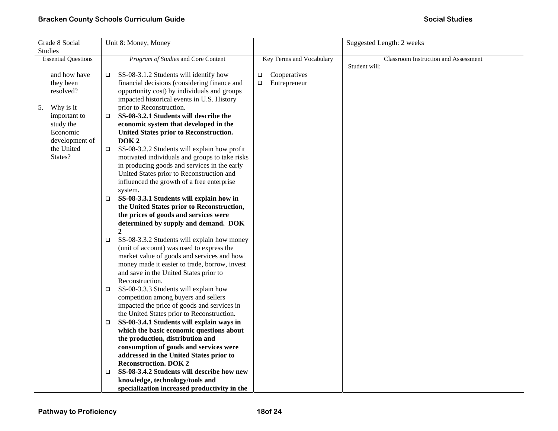| Grade 8 Social               | Unit 8: Money, Money                                                                                                                                               |                          | Suggested Length: 2 weeks                   |
|------------------------------|--------------------------------------------------------------------------------------------------------------------------------------------------------------------|--------------------------|---------------------------------------------|
| <b>Studies</b>               |                                                                                                                                                                    |                          |                                             |
| <b>Essential Questions</b>   | Program of Studies and Core Content                                                                                                                                | Key Terms and Vocabulary | <b>Classroom Instruction and Assessment</b> |
|                              |                                                                                                                                                                    |                          | Student will:                               |
| and how have                 | SS-08-3.1.2 Students will identify how<br>□                                                                                                                        | Cooperatives<br>$\Box$   |                                             |
| they been                    | financial decisions (considering finance and                                                                                                                       | Entrepreneur<br>$\Box$   |                                             |
| resolved?                    | opportunity cost) by individuals and groups                                                                                                                        |                          |                                             |
|                              | impacted historical events in U.S. History                                                                                                                         |                          |                                             |
| Why is it<br>5.              | prior to Reconstruction.                                                                                                                                           |                          |                                             |
| important to                 | SS-08-3.2.1 Students will describe the<br>o.                                                                                                                       |                          |                                             |
| study the                    | economic system that developed in the                                                                                                                              |                          |                                             |
| Economic                     | United States prior to Reconstruction.                                                                                                                             |                          |                                             |
| development of<br>the United | DOK <sub>2</sub>                                                                                                                                                   |                          |                                             |
| States?                      | SS-08-3.2.2 Students will explain how profit<br>$\Box$                                                                                                             |                          |                                             |
|                              | motivated individuals and groups to take risks<br>in producing goods and services in the early                                                                     |                          |                                             |
|                              | United States prior to Reconstruction and                                                                                                                          |                          |                                             |
|                              | influenced the growth of a free enterprise                                                                                                                         |                          |                                             |
|                              | system.                                                                                                                                                            |                          |                                             |
|                              | SS-08-3.3.1 Students will explain how in<br>□                                                                                                                      |                          |                                             |
|                              | the United States prior to Reconstruction,                                                                                                                         |                          |                                             |
|                              | the prices of goods and services were                                                                                                                              |                          |                                             |
|                              | determined by supply and demand. DOK                                                                                                                               |                          |                                             |
|                              | $\mathbf{2}$                                                                                                                                                       |                          |                                             |
|                              | SS-08-3.3.2 Students will explain how money<br>❏                                                                                                                   |                          |                                             |
|                              | (unit of account) was used to express the                                                                                                                          |                          |                                             |
|                              | market value of goods and services and how                                                                                                                         |                          |                                             |
|                              | money made it easier to trade, borrow, invest                                                                                                                      |                          |                                             |
|                              | and save in the United States prior to                                                                                                                             |                          |                                             |
|                              | Reconstruction.                                                                                                                                                    |                          |                                             |
|                              | SS-08-3.3.3 Students will explain how<br>$\Box$                                                                                                                    |                          |                                             |
|                              | competition among buyers and sellers                                                                                                                               |                          |                                             |
|                              | impacted the price of goods and services in                                                                                                                        |                          |                                             |
|                              | the United States prior to Reconstruction.                                                                                                                         |                          |                                             |
|                              | SS-08-3.4.1 Students will explain ways in<br>$\Box$                                                                                                                |                          |                                             |
|                              | which the basic economic questions about                                                                                                                           |                          |                                             |
|                              | the production, distribution and                                                                                                                                   |                          |                                             |
|                              | consumption of goods and services were                                                                                                                             |                          |                                             |
|                              | addressed in the United States prior to                                                                                                                            |                          |                                             |
|                              |                                                                                                                                                                    |                          |                                             |
|                              |                                                                                                                                                                    |                          |                                             |
|                              |                                                                                                                                                                    |                          |                                             |
|                              | <b>Reconstruction. DOK 2</b><br>SS-08-3.4.2 Students will describe how new<br>□<br>knowledge, technology/tools and<br>specialization increased productivity in the |                          |                                             |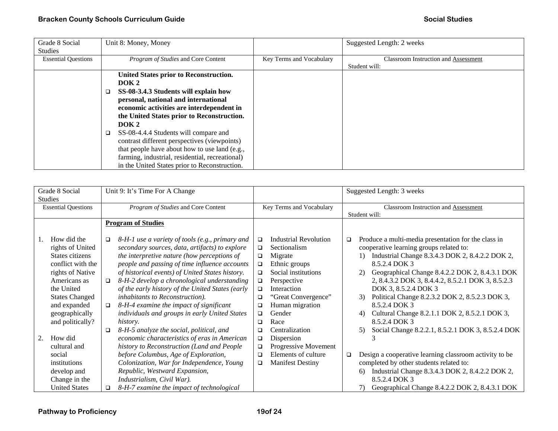| Grade 8 Social             | Unit 8: Money, Money                            |                          | Suggested Length: 2 weeks                   |
|----------------------------|-------------------------------------------------|--------------------------|---------------------------------------------|
| <b>Studies</b>             |                                                 |                          |                                             |
| <b>Essential Questions</b> | Program of Studies and Core Content             | Key Terms and Vocabulary | <b>Classroom Instruction and Assessment</b> |
|                            |                                                 |                          | Student will:                               |
|                            | United States prior to Reconstruction.          |                          |                                             |
|                            | DOK <sub>2</sub>                                |                          |                                             |
|                            | SS-08-3.4.3 Students will explain how           |                          |                                             |
|                            | personal, national and international            |                          |                                             |
|                            | economic activities are interdependent in       |                          |                                             |
|                            | the United States prior to Reconstruction.      |                          |                                             |
|                            | DOK <sub>2</sub>                                |                          |                                             |
|                            | SS-08-4.4.4 Students will compare and<br>□      |                          |                                             |
|                            | contrast different perspectives (viewpoints)    |                          |                                             |
|                            | that people have about how to use land (e.g.,   |                          |                                             |
|                            | farming, industrial, residential, recreational) |                          |                                             |
|                            | in the United States prior to Reconstruction.   |                          |                                             |

| Grade 8 Social<br><b>Studies</b>                                                                                                                                                                                                                                                                                            | Unit 9: It's Time For A Change                                                                                                                                                                                                                                                                                                                                                                                                                                                                                                                                                                                                                                                                                                                                                                                                                                                   |                                                                                                                                                                                                                                                                                                                                                                                                                                                    | Suggested Length: 3 weeks                                                                                                                                                                                                                                                                                                                                                                                                                                                                                                                                                                                                                                                                                                                                                                                      |
|-----------------------------------------------------------------------------------------------------------------------------------------------------------------------------------------------------------------------------------------------------------------------------------------------------------------------------|----------------------------------------------------------------------------------------------------------------------------------------------------------------------------------------------------------------------------------------------------------------------------------------------------------------------------------------------------------------------------------------------------------------------------------------------------------------------------------------------------------------------------------------------------------------------------------------------------------------------------------------------------------------------------------------------------------------------------------------------------------------------------------------------------------------------------------------------------------------------------------|----------------------------------------------------------------------------------------------------------------------------------------------------------------------------------------------------------------------------------------------------------------------------------------------------------------------------------------------------------------------------------------------------------------------------------------------------|----------------------------------------------------------------------------------------------------------------------------------------------------------------------------------------------------------------------------------------------------------------------------------------------------------------------------------------------------------------------------------------------------------------------------------------------------------------------------------------------------------------------------------------------------------------------------------------------------------------------------------------------------------------------------------------------------------------------------------------------------------------------------------------------------------------|
| <b>Essential Questions</b>                                                                                                                                                                                                                                                                                                  | Program of Studies and Core Content                                                                                                                                                                                                                                                                                                                                                                                                                                                                                                                                                                                                                                                                                                                                                                                                                                              | Key Terms and Vocabulary                                                                                                                                                                                                                                                                                                                                                                                                                           | Classroom Instruction and Assessment                                                                                                                                                                                                                                                                                                                                                                                                                                                                                                                                                                                                                                                                                                                                                                           |
|                                                                                                                                                                                                                                                                                                                             |                                                                                                                                                                                                                                                                                                                                                                                                                                                                                                                                                                                                                                                                                                                                                                                                                                                                                  |                                                                                                                                                                                                                                                                                                                                                                                                                                                    | Student will:                                                                                                                                                                                                                                                                                                                                                                                                                                                                                                                                                                                                                                                                                                                                                                                                  |
|                                                                                                                                                                                                                                                                                                                             | <b>Program of Studies</b>                                                                                                                                                                                                                                                                                                                                                                                                                                                                                                                                                                                                                                                                                                                                                                                                                                                        |                                                                                                                                                                                                                                                                                                                                                                                                                                                    |                                                                                                                                                                                                                                                                                                                                                                                                                                                                                                                                                                                                                                                                                                                                                                                                                |
| How did the<br>rights of United<br>States citizens<br>conflict with the<br>rights of Native<br>Americans as<br>the United<br><b>States Changed</b><br>and expanded<br>geographically<br>and politically?<br>How did<br>2.<br>cultural and<br>social<br>institutions<br>develop and<br>Change in the<br><b>United States</b> | 8-H-1 use a variety of tools (e.g., primary and<br>$\Box$<br>secondary sources, data, artifacts) to explore<br>the interpretive nature (how perceptions of<br>people and passing of time influence accounts<br>of historical events) of United States history.<br>8-H-2 develop a chronological understanding<br>$\Box$<br>of the early history of the United States (early<br>inhabitants to Reconstruction).<br>8-H-4 examine the impact of significant<br>□<br>individuals and groups in early United States<br>history.<br>8-H-5 analyze the social, political, and<br>□<br>economic characteristics of eras in American<br>history to Reconstruction (Land and People<br>before Columbus, Age of Exploration,<br>Colonization, War for Independence, Young<br>Republic, Westward Expansion,<br>Industrialism, Civil War).<br>8-H-7 examine the impact of technological<br>□ | Industrial Revolution<br>$\Box$<br>Sectionalism<br>$\Box$<br>Migrate<br>$\Box$<br>Ethnic groups<br>$\Box$<br>Social institutions<br>$\Box$<br>Perspective<br>$\Box$<br>Interaction<br>$\Box$<br>"Great Convergence"<br>$\Box$<br>Human migration<br>$\Box$<br>Gender<br>$\Box$<br>Race<br>□<br>Centralization<br>□<br>Dispersion<br>$\Box$<br>Progressive Movement<br>$\Box$<br>Elements of culture<br>$\Box$<br><b>Manifest Destiny</b><br>$\Box$ | Produce a multi-media presentation for the class in<br>$\Box$<br>cooperative learning groups related to:<br>Industrial Change 8.3.4.3 DOK 2, 8.4.2.2 DOK 2,<br>$\left( \frac{1}{2} \right)$<br>8.5.2.4 DOK 3<br>Geographical Change 8.4.2.2 DOK 2, 8.4.3.1 DOK<br>2)<br>2, 8.4.3.2 DOK 3, 8.4.4.2, 8.5.2.1 DOK 3, 8.5.2.3<br>DOK 3, 8.5.2.4 DOK 3<br>Political Change 8.2.3.2 DOK 2, 8.5.2.3 DOK 3,<br>3)<br>8.5.2.4 DOK 3<br>Cultural Change 8.2.1.1 DOK 2, 8.5.2.1 DOK 3,<br>4)<br>8.5.2.4 DOK 3<br>Social Change 8.2.2.1, 8.5.2.1 DOK 3, 8.5.2.4 DOK<br>5)<br>Design a cooperative learning classroom activity to be<br>$\Box$<br>completed by other students related to:<br>Industrial Change 8.3.4.3 DOK 2, 8.4.2.2 DOK 2,<br>6)<br>8.5.2.4 DOK 3<br>Geographical Change 8.4.2.2 DOK 2, 8.4.3.1 DOK<br>7) |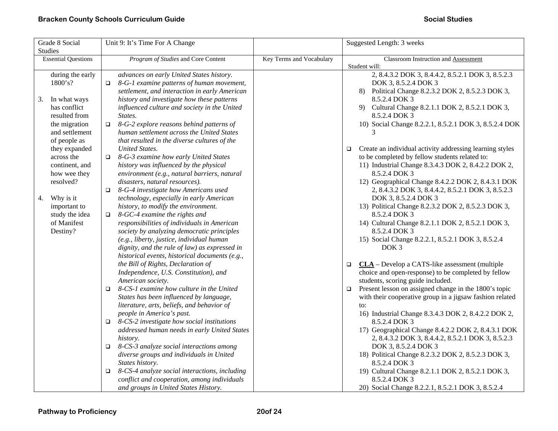| Grade 8 Social             |        | Unit 9: It's Time For A Change                  |                          |        | Suggested Length: 3 weeks                                |
|----------------------------|--------|-------------------------------------------------|--------------------------|--------|----------------------------------------------------------|
| <b>Studies</b>             |        |                                                 |                          |        |                                                          |
| <b>Essential Questions</b> |        | Program of Studies and Core Content             | Key Terms and Vocabulary |        | Classroom Instruction and Assessment                     |
|                            |        |                                                 |                          |        | Student will:                                            |
| during the early           |        | advances on early United States history.        |                          |        | 2, 8.4.3.2 DOK 3, 8.4.4.2, 8.5.2.1 DOK 3, 8.5.2.3        |
| 1800's?                    | $\Box$ | 8-G-1 examine patterns of human movement,       |                          |        | DOK 3, 8.5.2.4 DOK 3                                     |
|                            |        | settlement, and interaction in early American   |                          |        | 8) Political Change 8.2.3.2 DOK 2, 8.5.2.3 DOK 3,        |
| In what ways<br>3.         |        | history and investigate how these patterns      |                          |        | 8.5.2.4 DOK 3                                            |
| has conflict               |        | influenced culture and society in the United    |                          |        | 9) Cultural Change 8.2.1.1 DOK 2, 8.5.2.1 DOK 3,         |
| resulted from              |        | States.                                         |                          |        | 8.5.2.4 DOK 3                                            |
| the migration              |        | $\Box$ 8-G-2 explore reasons behind patterns of |                          |        | 10) Social Change 8.2.2.1, 8.5.2.1 DOK 3, 8.5.2.4 DOK    |
| and settlement             |        | human settlement across the United States       |                          |        | 3                                                        |
| of people as               |        | that resulted in the diverse cultures of the    |                          |        |                                                          |
| they expanded              |        | <b>United States.</b>                           |                          | $\Box$ | Create an individual activity addressing learning styles |
| across the                 | $\Box$ | 8-G-3 examine how early United States           |                          |        | to be completed by fellow students related to:           |
| continent, and             |        | history was influenced by the physical          |                          |        | 11) Industrial Change 8.3.4.3 DOK 2, 8.4.2.2 DOK 2,      |
| how wee they               |        | environment (e.g., natural barriers, natural    |                          |        | 8.5.2.4 DOK 3                                            |
| resolved?                  |        | disasters, natural resources).                  |                          |        | 12) Geographical Change 8.4.2.2 DOK 2, 8.4.3.1 DOK       |
|                            | $\Box$ | 8-G-4 investigate how Americans used            |                          |        | 2, 8.4.3.2 DOK 3, 8.4.4.2, 8.5.2.1 DOK 3, 8.5.2.3        |
| 4. Why is it               |        | technology, especially in early American        |                          |        | DOK 3, 8.5.2.4 DOK 3                                     |
| important to               |        | history, to modify the environment.             |                          |        | 13) Political Change 8.2.3.2 DOK 2, 8.5.2.3 DOK 3,       |
| study the idea             | o.     | 8-GC-4 examine the rights and                   |                          |        | 8.5.2.4 DOK 3                                            |
| of Manifest                |        | responsibilities of individuals in American     |                          |        | 14) Cultural Change 8.2.1.1 DOK 2, 8.5.2.1 DOK 3,        |
| Destiny?                   |        | society by analyzing democratic principles      |                          |        | 8.5.2.4 DOK 3                                            |
|                            |        | (e.g., liberty, justice, individual human       |                          |        | 15) Social Change 8.2.2.1, 8.5.2.1 DOK 3, 8.5.2.4        |
|                            |        | dignity, and the rule of law) as expressed in   |                          |        | DOK <sub>3</sub>                                         |
|                            |        | historical events, historical documents (e.g.,  |                          |        |                                                          |
|                            |        | the Bill of Rights, Declaration of              |                          | $\Box$ | $CLA$ – Develop a CATS-like assessment (multiple         |
|                            |        | Independence, U.S. Constitution), and           |                          |        | choice and open-response) to be completed by fellow      |
|                            |        | American society.                               |                          |        | students, scoring guide included.                        |
|                            | $\Box$ | 8-CS-1 examine how culture in the United        |                          | $\Box$ | Present lesson on assigned change in the 1800's topic    |
|                            |        | States has been influenced by language,         |                          |        | with their cooperative group in a jigsaw fashion related |
|                            |        | literature, arts, beliefs, and behavior of      |                          |        | to:                                                      |
|                            |        | people in America's past.                       |                          |        | 16) Industrial Change 8.3.4.3 DOK 2, 8.4.2.2 DOK 2,      |
|                            | $\Box$ | 8-CS-2 investigate how social institutions      |                          |        | 8.5.2.4 DOK 3                                            |
|                            |        | addressed human needs in early United States    |                          |        | 17) Geographical Change 8.4.2.2 DOK 2, 8.4.3.1 DOK       |
|                            |        | history.                                        |                          |        | 2, 8.4.3.2 DOK 3, 8.4.4.2, 8.5.2.1 DOK 3, 8.5.2.3        |
|                            | $\Box$ | 8-CS-3 analyze social interactions among        |                          |        | DOK 3, 8.5.2.4 DOK 3                                     |
|                            |        | diverse groups and individuals in United        |                          |        | 18) Political Change 8.2.3.2 DOK 2, 8.5.2.3 DOK 3,       |
|                            |        | States history.                                 |                          |        | 8.5.2.4 DOK 3                                            |
|                            | o.     | 8-CS-4 analyze social interactions, including   |                          |        | 19) Cultural Change 8.2.1.1 DOK 2, 8.5.2.1 DOK 3,        |
|                            |        | conflict and cooperation, among individuals     |                          |        | 8.5.2.4 DOK 3                                            |
|                            |        | and groups in United States History.            |                          |        | 20) Social Change 8.2.2.1, 8.5.2.1 DOK 3, 8.5.2.4        |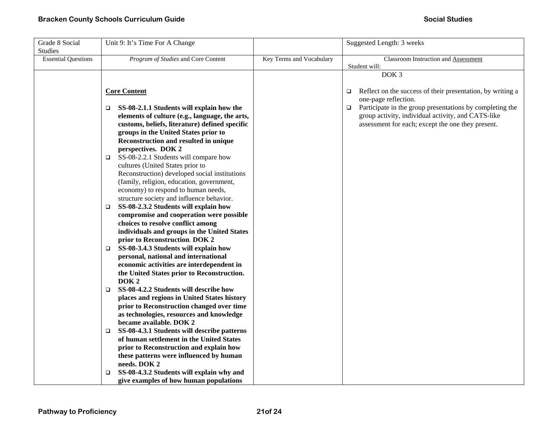| Grade 8 Social<br><b>Studies</b> | Unit 9: It's Time For A Change                                                    |                          | Suggested Length: 3 weeks                                            |
|----------------------------------|-----------------------------------------------------------------------------------|--------------------------|----------------------------------------------------------------------|
| <b>Essential Questions</b>       | Program of Studies and Core Content                                               | Key Terms and Vocabulary | <b>Classroom Instruction and Assessment</b>                          |
|                                  |                                                                                   |                          | Student will:                                                        |
|                                  |                                                                                   |                          | DOK <sub>3</sub>                                                     |
|                                  |                                                                                   |                          |                                                                      |
|                                  | <b>Core Content</b>                                                               |                          | Reflect on the success of their presentation, by writing a<br>$\Box$ |
|                                  |                                                                                   |                          | one-page reflection.                                                 |
|                                  | SS-08-2.1.1 Students will explain how the<br>□                                    |                          | Participate in the group presentations by completing the<br>$\Box$   |
|                                  | elements of culture (e.g., language, the arts,                                    |                          | group activity, individual activity, and CATS-like                   |
|                                  | customs, beliefs, literature) defined specific                                    |                          | assessment for each; except the one they present.                    |
|                                  | groups in the United States prior to                                              |                          |                                                                      |
|                                  | Reconstruction and resulted in unique                                             |                          |                                                                      |
|                                  | perspectives. DOK 2                                                               |                          |                                                                      |
|                                  | SS-08-2.2.1 Students will compare how<br>□                                        |                          |                                                                      |
|                                  | cultures (United States prior to                                                  |                          |                                                                      |
|                                  | Reconstruction) developed social institutions                                     |                          |                                                                      |
|                                  | (family, religion, education, government,                                         |                          |                                                                      |
|                                  | economy) to respond to human needs,                                               |                          |                                                                      |
|                                  | structure society and influence behavior.                                         |                          |                                                                      |
|                                  | SS-08-2.3.2 Students will explain how<br>□                                        |                          |                                                                      |
|                                  | compromise and cooperation were possible                                          |                          |                                                                      |
|                                  | choices to resolve conflict among                                                 |                          |                                                                      |
|                                  | individuals and groups in the United States                                       |                          |                                                                      |
|                                  | prior to Reconstruction. DOK 2                                                    |                          |                                                                      |
|                                  | SS-08-3.4.3 Students will explain how<br>$\Box$                                   |                          |                                                                      |
|                                  | personal, national and international<br>economic activities are interdependent in |                          |                                                                      |
|                                  | the United States prior to Reconstruction.                                        |                          |                                                                      |
|                                  | DOK <sub>2</sub>                                                                  |                          |                                                                      |
|                                  | SS-08-4.2.2 Students will describe how<br>$\Box$                                  |                          |                                                                      |
|                                  | places and regions in United States history                                       |                          |                                                                      |
|                                  | prior to Reconstruction changed over time                                         |                          |                                                                      |
|                                  | as technologies, resources and knowledge                                          |                          |                                                                      |
|                                  | became available. DOK 2                                                           |                          |                                                                      |
|                                  | SS-08-4.3.1 Students will describe patterns<br>□                                  |                          |                                                                      |
|                                  | of human settlement in the United States                                          |                          |                                                                      |
|                                  | prior to Reconstruction and explain how                                           |                          |                                                                      |
|                                  | these patterns were influenced by human                                           |                          |                                                                      |
|                                  | needs. DOK 2                                                                      |                          |                                                                      |
|                                  | SS-08-4.3.2 Students will explain why and<br>□                                    |                          |                                                                      |
|                                  | give examples of how human populations                                            |                          |                                                                      |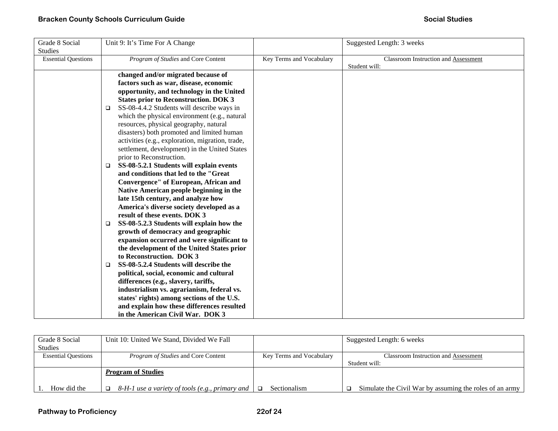| Grade 8 Social             |        | Unit 9: It's Time For A Change                   |                          | Suggested Length: 3 weeks            |
|----------------------------|--------|--------------------------------------------------|--------------------------|--------------------------------------|
| <b>Studies</b>             |        |                                                  |                          |                                      |
| <b>Essential Questions</b> |        | Program of Studies and Core Content              | Key Terms and Vocabulary | Classroom Instruction and Assessment |
|                            |        |                                                  |                          | Student will:                        |
|                            |        | changed and/or migrated because of               |                          |                                      |
|                            |        | factors such as war, disease, economic           |                          |                                      |
|                            |        | opportunity, and technology in the United        |                          |                                      |
|                            |        | <b>States prior to Reconstruction. DOK 3</b>     |                          |                                      |
|                            | $\Box$ | SS-08-4.4.2 Students will describe ways in       |                          |                                      |
|                            |        | which the physical environment (e.g., natural    |                          |                                      |
|                            |        | resources, physical geography, natural           |                          |                                      |
|                            |        | disasters) both promoted and limited human       |                          |                                      |
|                            |        | activities (e.g., exploration, migration, trade, |                          |                                      |
|                            |        | settlement, development) in the United States    |                          |                                      |
|                            |        | prior to Reconstruction.                         |                          |                                      |
|                            | $\Box$ | SS-08-5.2.1 Students will explain events         |                          |                                      |
|                            |        | and conditions that led to the "Great            |                          |                                      |
|                            |        | Convergence" of European, African and            |                          |                                      |
|                            |        | Native American people beginning in the          |                          |                                      |
|                            |        | late 15th century, and analyze how               |                          |                                      |
|                            |        | America's diverse society developed as a         |                          |                                      |
|                            |        | result of these events. DOK 3                    |                          |                                      |
|                            | $\Box$ | SS-08-5.2.3 Students will explain how the        |                          |                                      |
|                            |        | growth of democracy and geographic               |                          |                                      |
|                            |        | expansion occurred and were significant to       |                          |                                      |
|                            |        | the development of the United States prior       |                          |                                      |
|                            |        | to Reconstruction. DOK 3                         |                          |                                      |
|                            | $\Box$ | SS-08-5.2.4 Students will describe the           |                          |                                      |
|                            |        | political, social, economic and cultural         |                          |                                      |
|                            |        | differences (e.g., slavery, tariffs,             |                          |                                      |
|                            |        | industrialism vs. agrarianism, federal vs.       |                          |                                      |
|                            |        | states' rights) among sections of the U.S.       |                          |                                      |
|                            |        | and explain how these differences resulted       |                          |                                      |
|                            |        | in the American Civil War. DOK 3                 |                          |                                      |

| Grade 8 Social             | Unit 10: United We Stand, Divided We Fall       |                          | Suggested Length: 6 weeks                               |
|----------------------------|-------------------------------------------------|--------------------------|---------------------------------------------------------|
| Studies                    |                                                 |                          |                                                         |
| <b>Essential Questions</b> | <i>Program of Studies</i> and Core Content      | Key Terms and Vocabulary | <b>Classroom Instruction and Assessment</b>             |
|                            |                                                 |                          | Student will:                                           |
|                            | <i>Program of Studies</i>                       |                          |                                                         |
| How did the                | 8-H-1 use a variety of tools (e.g., primary and | Sectionalism             | Simulate the Civil War by assuming the roles of an army |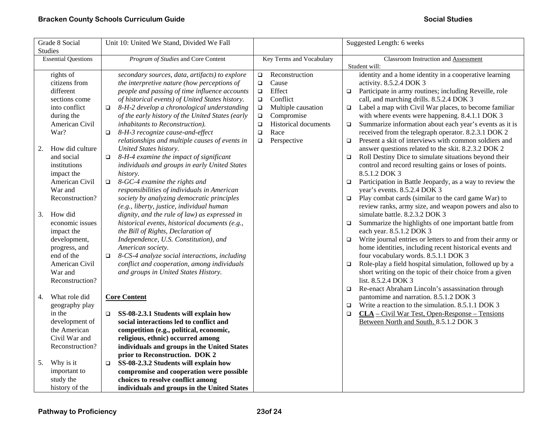| Grade 8 Social             | Unit 10: United We Stand, Divided We Fall               |                                | Suggested Length: 6 weeks                                            |
|----------------------------|---------------------------------------------------------|--------------------------------|----------------------------------------------------------------------|
| <b>Studies</b>             |                                                         |                                |                                                                      |
| <b>Essential Questions</b> | Program of Studies and Core Content                     | Key Terms and Vocabulary       | Classroom Instruction and Assessment                                 |
|                            |                                                         |                                | Student will:                                                        |
| rights of                  | secondary sources, data, artifacts) to explore          | Reconstruction<br>$\Box$       | identity and a home identity in a cooperative learning               |
| citizens from              | the interpretive nature (how perceptions of             | Cause<br>$\Box$                | activity. 8.5.2.4 DOK 3                                              |
| different                  | people and passing of time influence accounts           | Effect<br>$\Box$               | Participate in army routines; including Reveille, role<br>$\Box$     |
| sections come              | of historical events) of United States history.         | Conflict<br>$\Box$             | call, and marching drills. 8.5.2.4 DOK 3                             |
| into conflict              | 8-H-2 develop a chronological understanding<br>$\Box$   | Multiple causation<br>$\Box$   | Label a map with Civil War places, to become familiar<br>$\Box$      |
| during the                 | of the early history of the United States (early        | Compromise<br>$\Box$           | with where events were happening. 8.4.1.1 DOK 3                      |
| American Civil             | inhabitants to Reconstruction).                         | Historical documents<br>$\Box$ | Summarize information about each year's events as it is<br>$\Box$    |
| War?                       | 8-H-3 recognize cause-and-effect<br>$\Box$              | Race<br>$\Box$                 | received from the telegraph operator. 8.2.3.1 DOK 2                  |
|                            | relationships and multiple causes of events in          | Perspective<br>$\Box$          | Present a skit of interviews with common soldiers and<br>$\Box$      |
| How did culture<br>2.      | United States history.                                  |                                | answer questions related to the skit. 8.2.3.2 DOK 2                  |
| and social                 | 8-H-4 examine the impact of significant<br>$\Box$       |                                | Roll Destiny Dice to simulate situations beyond their<br>$\Box$      |
| institutions               | individuals and groups in early United States           |                                | control and record resulting gains or loses of points.               |
| impact the                 | history.                                                |                                | 8.5.1.2 DOK 3                                                        |
| American Civil             | 8-GC-4 examine the rights and<br>$\Box$                 |                                | Participation in Battle Jeopardy, as a way to review the<br>$\Box$   |
| War and                    | responsibilities of individuals in American             |                                | year's events. 8.5.2.4 DOK 3                                         |
| Reconstruction?            | society by analyzing democratic principles              |                                | Play combat cards (similar to the card game War) to<br>$\Box$        |
|                            | (e.g., liberty, justice, individual human               |                                | review ranks, army size, and weapon powers and also to               |
| How did<br>3.              | dignity, and the rule of law) as expressed in           |                                | simulate battle. 8.2.3.2 DOK 3                                       |
| economic issues            | historical events, historical documents (e.g.,          |                                | Summarize the highlights of one important battle from<br>$\Box$      |
| impact the                 | the Bill of Rights, Declaration of                      |                                | each year. 8.5.1.2 DOK 3                                             |
| development,               | Independence, U.S. Constitution), and                   |                                | Write journal entries or letters to and from their army or<br>$\Box$ |
| progress, and              | American society.                                       |                                | home identities, including recent historical events and              |
| end of the                 | 8-CS-4 analyze social interactions, including<br>$\Box$ |                                | four vocabulary words. 8.5.1.1 DOK 3                                 |
| American Civil             | conflict and cooperation, among individuals             |                                | Role-play a field hospital simulation, followed up by a<br>$\Box$    |
| War and                    | and groups in United States History.                    |                                | short writing on the topic of their choice from a given              |
| Reconstruction?            |                                                         |                                | list. 8.5.2.4 DOK 3                                                  |
|                            |                                                         |                                | Re-enact Abraham Lincoln's assassination through<br>$\Box$           |
| What role did<br>4.        | <b>Core Content</b>                                     |                                | pantomime and narration. 8.5.1.2 DOK 3                               |
| geography play             |                                                         |                                | Write a reaction to the simulation. 8.5.1.1 DOK 3<br>$\Box$          |
| in the                     | SS-08-2.3.1 Students will explain how<br>□              |                                | $CLA - Civil War Test, Open-Response - Tensions$<br>$\Box$           |
| development of             | social interactions led to conflict and                 |                                | Between North and South. 8.5.1.2 DOK 3                               |
| the American               | competition (e.g., political, economic,                 |                                |                                                                      |
| Civil War and              | religious, ethnic) occurred among                       |                                |                                                                      |
| Reconstruction?            | individuals and groups in the United States             |                                |                                                                      |
|                            | prior to Reconstruction. DOK 2                          |                                |                                                                      |
| Why is it<br>5.            | SS-08-2.3.2 Students will explain how<br>$\Box$         |                                |                                                                      |
| important to               | compromise and cooperation were possible                |                                |                                                                      |
| study the                  | choices to resolve conflict among                       |                                |                                                                      |
| history of the             | individuals and groups in the United States             |                                |                                                                      |